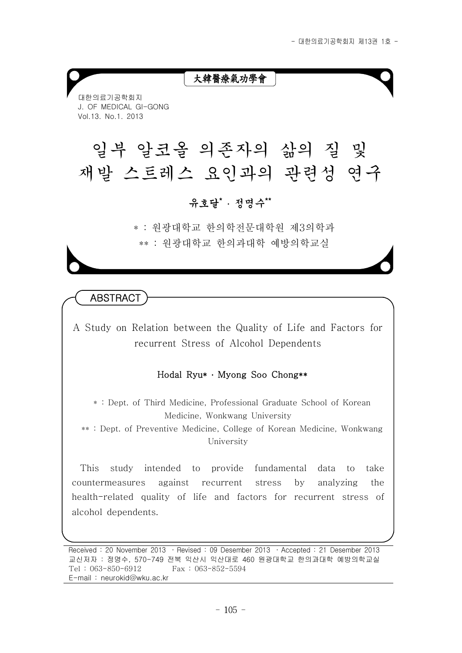## 大韓醫療氣功學會

대한의료기공학회지 J. OF MEDICAL GI-GONG Vol.13. No.1. 2013

# 일부 알코올 의존자의 삶의 질 및 재발 스트레스 요인과의 관련성 연구

유호달\* ․ 정명수\*\*

\* : 원광대학교 한의학전문대학원 제3의학과 \*\* : 원광대학교 한의과대학 예방의학교실

**ABSTRACT** 

A Study on Relation between the Quality of Life and Factors for recurrent Stress of Alcohol Dependents

#### Hodal Ryu\* ․ Myong Soo Chong\*\*

\* : Dept. of Third Medicine, Professional Graduate School of Korean Medicine, Wonkwang University

\*\* : Dept. of Preventive Medicine, College of Korean Medicine, Wonkwang University

This study intended to provide fundamental data to take countermeasures against recurrent stress by analyzing the health-related quality of life and factors for recurrent stress of alcohol dependents.

Received : 20 November 2013 ․ Revised : 09 Desember 2013 ․ Accepted : 21 Desember 2013 교신저자 : 정명수, 570-749 전북 익산시 익산대로 460 원광대학교 한의과대학 예방의학교실 Tel : 063-850-6912 Fax : 063-852-5594 E-mail : neurokid@wku.ac.kr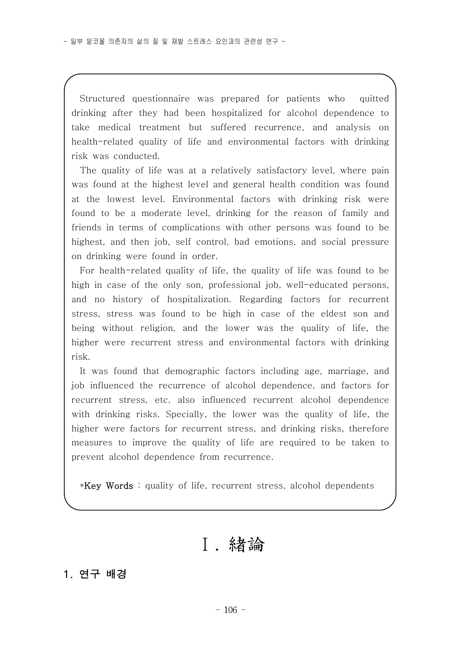Structured questionnaire was prepared for patients who quitted drinking after they had been hospitalized for alcohol dependence to take medical treatment but suffered recurrence, and analysis on health-related quality of life and environmental factors with drinking risk was conducted.

The quality of life was at a relatively satisfactory level, where pain was found at the highest level and general health condition was found at the lowest level. Environmental factors with drinking risk were found to be a moderate level, drinking for the reason of family and friends in terms of complications with other persons was found to be highest, and then job, self control, bad emotions, and social pressure on drinking were found in order.

For health-related quality of life, the quality of life was found to be high in case of the only son, professional job, well-educated persons, and no history of hospitalization. Regarding factors for recurrent stress, stress was found to be high in case of the eldest son and being without religion, and the lower was the quality of life, the higher were recurrent stress and environmental factors with drinking risk.

It was found that demographic factors including age, marriage, and job influenced the recurrence of alcohol dependence, and factors for recurrent stress, etc. also influenced recurrent alcohol dependence with drinking risks. Specially, the lower was the quality of life, the higher were factors for recurrent stress, and drinking risks, therefore measures to improve the quality of life are required to be taken to prevent alcohol dependence from recurrence.

\*Key Words : quality of life, recurrent stress, alcohol dependents

Ⅰ. 緖論

### 1. 연구 배경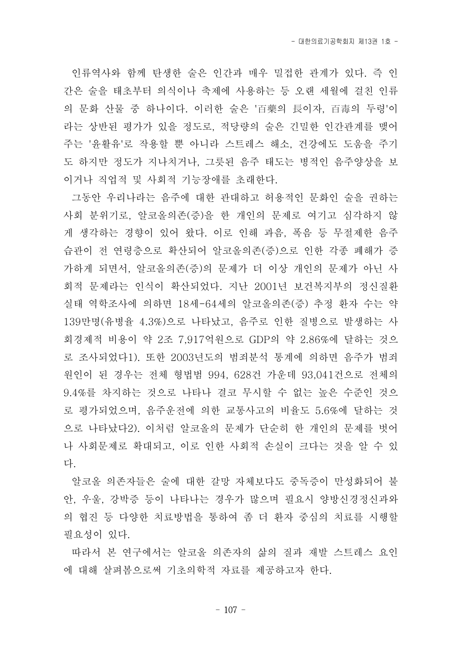- 대한의료기공학회지 제13권 1호 -

인류역사와 함께 탄생한 술은 인간과 매우 밀접한 관계가 있다. 즉 인 간은 술을 태초부터 의식이나 축제에 사용하는 등 오랜 세월에 걸친 인류 의 문화 산물 중 하나이다. 이러한 술은 '百藥의 長이자, 百毒의 두령'이 라는 상반된 평가가 있을 정도로, 적당량의 술은 긴밀한 인간관계를 맺어 주는 '윤활유'로 작용할 뿐 아니라 스트레스 해소, 건강에도 도움을 주기 도 하지만 정도가 지나치거나, 그릇된 음주 태도는 병적인 음주양상을 보 이거나 직업적 및 사회적 기능장애를 초래한다.

그동안 우리나라는 음주에 대한 관대하고 허용적인 문화인 술을 권하는 사회 분위기로, 알코올의존(증)을 한 개인의 문제로 여기고 심각하지 않 게 생각하는 경향이 있어 왔다. 이로 인해 과음, 폭음 등 무절제한 음주 습관이 전 연령층으로 확산되어 알코올의존(증)으로 인한 각종 폐해가 증 가하게 되면서, 알코올의존(증)의 문제가 더 이상 개인의 문제가 아닌 사 회적 문제라는 인식이 확산되었다. 지난 2001년 보건복지부의 정신질환 실태 역학조사에 의하면 18세-64세의 알코올의존(증) 추정 환자 수는 약 139만명(유병율 4.3%)으로 나타났고, 음주로 인한 질병으로 발생하는 사 회경제적 비용이 약 2조 7,917억원으로 GDP의 약 2.86%에 달하는 것으 로 조사되었다1). 또한 2003년도의 범죄분석 통계에 의하면 음주가 범죄 원인이 된 경우는 전체 형법범 994, 628건 가운데 93,041건으로 전체의 9.4%를 차지하는 것으로 나타나 결코 무시할 수 없는 높은 수준인 것으 로 평가되었으며, 음주운전에 의한 교통사고의 비율도 5.6%에 달하는 것 으로 나타났다2). 이처럼 알코올의 문제가 단순히 한 개인의 문제를 벗어 나 사회문제로 확대되고, 이로 인한 사회적 손실이 크다는 것을 알 수 있

다.<br>- 알코올 의존자들은 술에 대한 갈망 자체보다도 중독증이 만성화되어 불 안, 우울, 강박증 등이 나타나는 경우가 많으며 필요시 양방신경정신과와 의 협진 등 다양한 치료방법을 통하여 좀 더 환자 중심의 치료를 시행할 필요성이 있다.

따라서 본 연구에서는 알코올 의존자의 삶의 질과 재발 스트레스 요인 에 대해 살펴봄으로써 기초의학적 자료를 제공하고자 한다.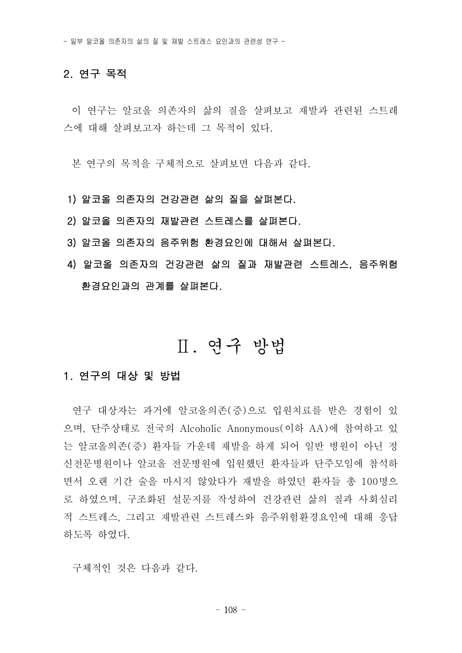### 2. 연구 목적

이 연구는 알코올 의존자의 삶의 질을 살펴보고 재발과 관련된 스트레 스에 대해 살펴보고자 하는데 그 목적이 있다.

본 연구의 목적을 구체적으로 살펴보면 다음과 같다.

#### 1) 알코올 의존자의 건강관련 삶의 질을 살펴본다.

- 2) 알코올 의존자의 재발관련 스트레스를 살펴본다.
- 3) 알코올 의존자의 음주위험 환경요인에 대해서 살펴본다.
- 4) 알코올 의존자의 건강관련 삶의 질과 재발관련 스트레스, 음주위험 환경요인과의 관계를 살펴본다.

## Ⅱ. 연구 방법

#### 1. 연구의 대상 및 방법

연구 대상자는 과거에 알코올의존(증)으로 입원치료를 받은 경험이 있 으며, 단주상태로 전국의 Alcoholic Anonymous(이하 AA)에 참여하고 있 는 알코올의존(증) 환자들 가운데 재발을 하게 되어 일반 병원이 아닌 정 신전문병원이나 알코올 전문병원에 입원했던 환자들과 단주모임에 참석하 면서 오랜 기간 술을 마시지 않았다가 재발을 하였던 환자들 총 100명으 로 하였으며, 구조화된 설문지를 작성하여 건강관련 삶의 질과 사회심리 적 스트레스, 그리고 재발관련 스트레스와 음주위험환경요인에 대해 응답 하도록 하였다.

구체적인 것은 다음과 같다.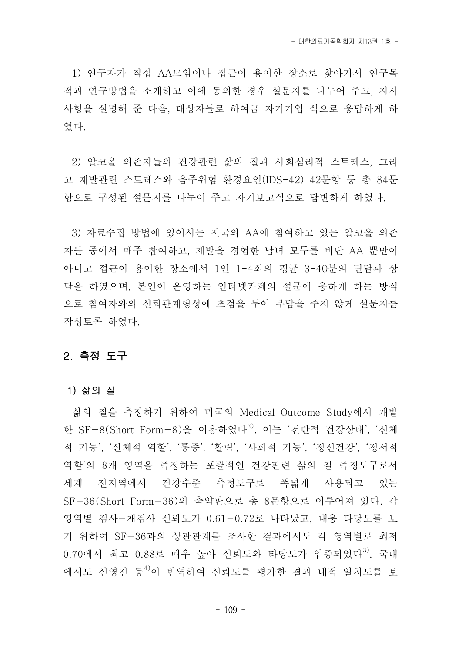1) 연구자가 직접 AA모임이나 접근이 용이한 장소로 찾아가서 연구목 적과 연구방법을 소개하고 이에 동의한 경우 설문지를 나누어 주고, 지시 사항을 설명해 준 다음, 대상자들로 하여금 자기기입 식으로 응답하게 하 였다.<br>2) 알코올 의존자들의 건강관련 삶의 질과 사회심리적 스트레스, 그리

고 재발관련 스트레스와 음주위험 환경요인(IDS-42) 42문항 등 총 84문 항으로 구성된 설문지를 나누어 주고 자기보고식으로 답변하게 하였다.

3) 자료수집 방법에 있어서는 전국의 AA에 참여하고 있는 알코올 의존 자들 중에서 매주 참여하고, 재발을 경험한 남녀 모두를 비단 AA 뿐만이 아니고 접근이 용이한 장소에서 1인 1-4회의 평균 3-40분의 면담과 상 담을 하였으며, 본인이 운영하는 인터넷카페의 설문에 응하게 하는 방식 으로 참여자와의 신뢰관계형성에 초점을 두어 부담을 주지 않게 설문지를 작성토록 하였다.

### 2. 측정 도구

#### 1) 삶의 질

삶의 질을 측정하기 위하여 미국의 Medical Outcome Study에서 개발 한 SF-8(Short Form-8)을 이용하였다<sup>3)</sup>. 이는 '전반적 건강상태', '신체 적 기능', '신체적 역할', '통증', '활력', '사회적 기능', '정신건강', '정서적 역할'의 8개 영역을 측정하는 포괄적인 건강관련 삶의 질 측정도구로서 세계 전지역에서 건강수준 측정도구로 폭넓게 사용되고 있는 SF-36(Short Form-36)의 축약판으로 총 8문항으로 이루어져 있다. 각 영역별 검사-재검사 신뢰도가 0.61-0.72로 나타났고, 내용 타당도를 보 기 위하여 SF-36과의 상관관계를 조사한 결과에서도 각 영역별로 최저 0.70에서 최고 0.88로 매우 높아 신뢰도와 타당도가 입증되었다<sup>3)</sup>. 국내 에서도 신영전 등 4)이 번역하여 신뢰도를 평가한 결과 내적 일치도를 보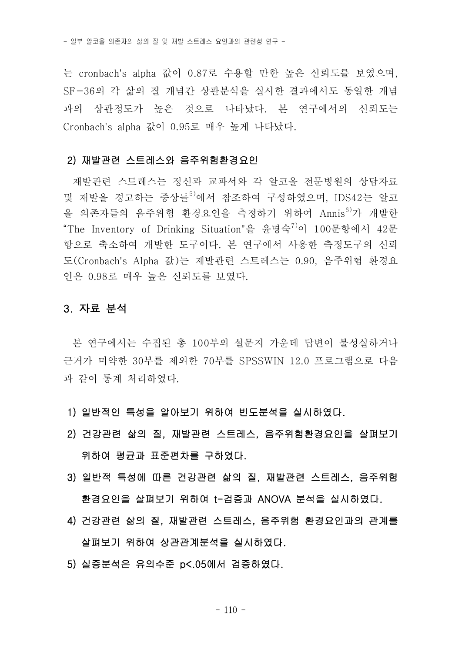는 cronbach's alpha 값이 0.87로 수용할 만한 높은 신뢰도를 보였으며,<br>SF-36의 각 삶의 질 개념간 상관분석을 실시한 결과에서도 동일한 개념 과의 상관정도가 높은 것으로 나타났다. 본 연구에서의 신뢰도는 Cronbach's alpha 값이 0.95로 매우 높게 나타났다.

#### 2) 재발관련 스트레스와 음주위험환경요인

재발관련 스트레스는 정신과 교과서와 각 알코올 전문병원의 상담자료 및 재발을 경고하는 증상들<sup>5)</sup>에서 참조하여 구성하였으며, IDS42는 알코 올 의존자들의 음주위험 환경요인을 측정하기 위하여 Annis<sup>6)</sup>가 개발한<br>"The Inventory of Drinking Situation"을 윤명숙<sup>7)</sup>이 100문항에서 42문 항으로 축소하여 개발한 도구이다. 본 연구에서 사용한 측정도구의 신뢰 도(Cronbach's Alpha 값)는 재발관련 스트레스는 0.90, 음주위험 환경요 인은 0.98로 매우 높은 신뢰도를 보였다.

#### 3. 자료 분석

본 연구에서는 수집된 총 100부의 설문지 가운데 답변이 불성실하거나 근거가 미약한 30부를 제외한 70부를 SPSSWIN 12.0 프로그램으로 다음 과 같이 통계 처리하였다.

- 1) 일반적인 특성을 알아보기 위하여 빈도분석을 실시하였다.
- 2) 건강관련 삶의 질, 재발관련 스트레스, 음주위험환경요인을 살펴보기 위하여 평균과 표준편차를 구하였다.
- 3) 일반적 특성에 따른 건강관련 삶의 질, 재발관련 스트레스, 음주위험 환경요인을 살펴보기 위하여 t-검증과 ANOVA 분석을 실시하였다. 4) 건강관련 삶의 질, 재발관련 스트레스, 음주위험 환경요인과의 관계를
- 
- 살펴보기 위하여 상관관계분석을 실시하였다. 5) 실증분석은 유의수준 p<.05에서 검증하였다.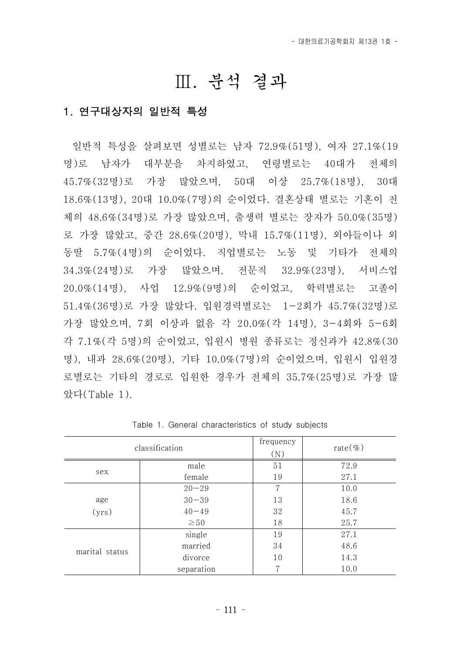## Ⅲ. 분석 결과

## 1. 연구대상자의 일반적 특성

일반적 특성을 살펴보면 성별로는 남자 72.9%(51명), 여자 27.1%(19 명)로 남자가 대부분을 차지하였고, 연령별로는 40대가 전체의 45.7%(32명)로 가장 많았으며, 50대 이상 25.7%(18명), 30대 18.6%(13명), 20대 10.0%(7명)의 순이었다. 결혼상태 별로는 기혼이 전 체의 48.6%(34명)로 가장 많았으며, 출생력 별로는 장자가 50.0%(35명) 로 가장 많았고, 중간 28.6%(20명), 막내 15.7%(11명), 외아들이나 외 동딸 5.7%(4명)의 순이었다. 직업별로는 노동 및 기타가 전체의 34.3%(24명)로 가장 많았으며, 전문직 32.9%(23명), 서비스업 20.0%(14명), 사업 12.9%(9명)의 순이었고, 학력별로는 고졸이 51.4%(36명)로 가장 많았다. 입원경력별로는 1-2회가 45.7%(32명)로 가장 많았으며, 7회 이상과 없음 각 20.0%(각 14명), 3-4회와 5-6회 각 7.1%(각 5명)의 순이었고, 입원시 병원 종류로는 정신과가 42.8%(30 명), 내과 28.6%(20명), 기타 10.0%(7명)의 순이었으며, 입원시 입원경 로별로는 기타의 경로로 입원한 경우가 전체의 35.7%(25명)로 가장 많 았다(Table 1).

|                | classification | frequency<br>(N) | rate $(\% )$ |
|----------------|----------------|------------------|--------------|
|                | male           | 51               | 72.9         |
| sex            | female         | 19               | 27.1         |
|                | $20 - 29$      | 7                | 10.0         |
| age            | $30 - 39$      | 13               | 18.6         |
| (yrs)          | $40 - 49$      | 32               | 45.7         |
|                | $\geq 50$      | 18               | 25.7         |
|                | single         | 19               | 27.1         |
| marital status | married        | 34               | 48.6         |
|                | divorce        | 10               | 14.3         |
|                | separation     | 7                | 10.0         |

Table 1. General characteristics of study subjects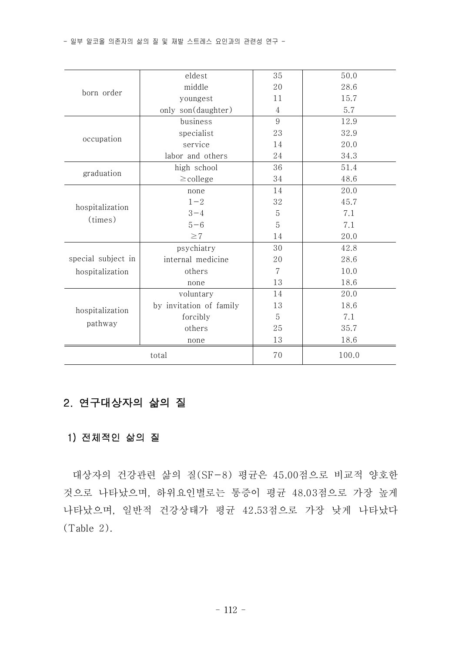|                    | eldest                  | 35 | 50.0  |
|--------------------|-------------------------|----|-------|
| born order         | middle                  | 20 | 28.6  |
|                    | youngest                | 11 | 15.7  |
|                    | only son(daughter)      | 4  | 5.7   |
|                    | business                | 9  | 12.9  |
| occupation         | specialist              | 23 | 32.9  |
|                    | service                 | 14 | 20.0  |
|                    | labor and others        | 24 | 34.3  |
| graduation         | high school             | 36 | 51.4  |
|                    | $\geq$ college          | 34 | 48.6  |
|                    | none                    | 14 | 20.0  |
| hospitalization    | $1 - 2$                 | 32 | 45.7  |
| (times)            | $3 - 4$                 | 5  | 7.1   |
|                    | $5 - 6$                 | 5  | 7.1   |
|                    | $\geq$ 7                | 14 | 20.0  |
|                    | psychiatry              | 30 | 42.8  |
| special subject in | internal medicine       | 20 | 28.6  |
| hospitalization    | others                  | 7  | 10.0  |
|                    | none                    | 13 | 18.6  |
|                    | voluntary               | 14 | 20.0  |
| hospitalization    | by invitation of family | 13 | 18.6  |
|                    | forcibly                | 5  | 7.1   |
| pathway            | others                  | 25 | 35.7  |
|                    | none                    | 13 | 18.6  |
|                    | total                   | 70 | 100.0 |

## 2. 연구대상자의 삶의 질

## 1) 전체적인 삶의 질

대상자의 건강관련 삶의 질(SF-8) 평균은 45.00점으로 비교적 양호한 것으로 나타났으며, 하위요인별로는 통증이 평균 48.03점으로 가장 높게 나타났으며, 일반적 건강상태가 평균 42.53점으로 가장 낮게 나타났다 (Table 2).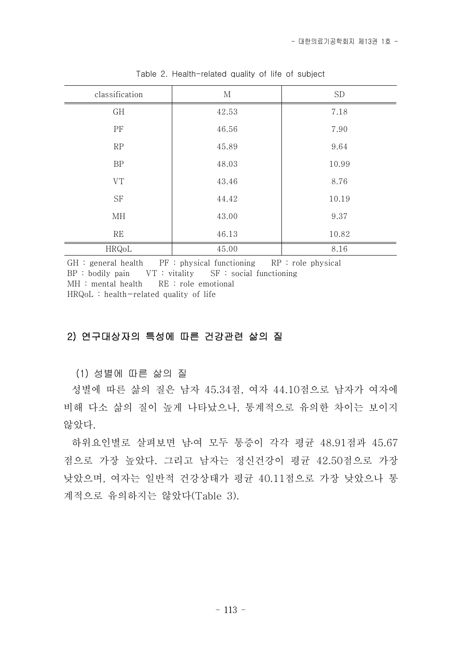| classification | M     | <b>SD</b> |
|----------------|-------|-----------|
| GH             | 42.53 | 7.18      |
| PF             | 46.56 | 7.90      |
| RP             | 45.89 | 9.64      |
| $\rm BP$       | 48.03 | 10.99     |
| ${\rm VT}$     | 43.46 | 8.76      |
| $\rm{SF}$      | 44.42 | 10.19     |
| МH             | 43.00 | 9.37      |
| RE             | 46.13 | 10.82     |
| HRQoL          | 45.00 | 8.16      |

Table 2. Health-related quality of life of subject

 $GH : general health$  PF : physical functioning RP : role physical BP : bodily pain VT : vitality SF : social functioning MH : mental health RE : role emotional HRQoL : health-related quality of life

#### 2) 연구대상자의 특성에 따른 건강관련 삶의 질

(1) 성별에 따른 삶의 질

성별에 따른 삶의 질은 남자 45.34점, 여자 44.10점으로 남자가 여자에 비해 다소 삶의 질이 높게 나타났으나, 통계적으로 유의한 차이는 보이지 않았다.

하위요인별로 살펴보면 남․여 모두 통증이 각각 평균 48.91점과 45.67 점으로 가장 높았다. 그리고 남자는 정신건강이 평균 42.50점으로 가장 낮았으며, 여자는 일반적 건강상태가 평균 40.11점으로 가장 낮았으나 통 계적으로 유의하지는 않았다(Table 3).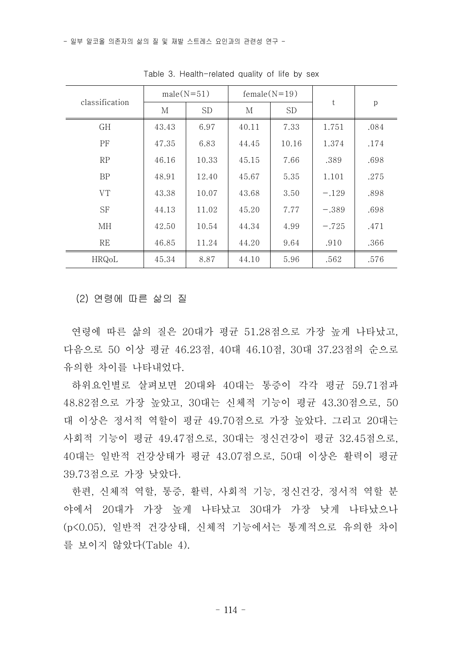| classification | $male(N=51)$ |           | $female(N=19)$ |           |         | p    |  |
|----------------|--------------|-----------|----------------|-----------|---------|------|--|
|                | М            | <b>SD</b> | М              | <b>SD</b> | t       |      |  |
| <b>GH</b>      | 43.43        | 6.97      | 40.11          | 7.33      | 1.751   | .084 |  |
| PF             | 47.35        | 6.83      | 44.45          | 10.16     | 1.374   | .174 |  |
| RP             | 46.16        | 10.33     | 45.15          | 7.66      | .389    | .698 |  |
| <b>BP</b>      | 48.91        | 12.40     | 45.67          | 5.35      | 1.101   | .275 |  |
| <b>VT</b>      | 43.38        | 10.07     | 43.68          | 3.50      | $-.129$ | .898 |  |
| <b>SF</b>      | 44.13        | 11.02     | 45.20          | 7.77      | $-.389$ | .698 |  |
| ΜН             | 42.50        | 10.54     | 44.34          | 4.99      | $-.725$ | .471 |  |
| <b>RE</b>      | 46.85        | 11.24     | 44.20          | 9.64      | .910    | .366 |  |
| HRQoL          | 45.34        | 8.87      | 44.10          | 5.96      | .562    | .576 |  |

Table 3. Health-related quality of life by sex

(2) 연령에 따른 삶의 질

- 연령에 따른 삶의 질은 20대가 평균 51.28점으로 가장 높게 나타났고,<br>다음으로 50 이상 평균 46.23점, 40대 46.10점, 30대 37.23점의 순으로 유의한 차이를 나타내었다.<br>-<br>하위요인별로 살펴보면 20대와 40대는 통증이 각각 평균 59.71점과

48.82점으로 가장 높았고, 30대는 신체적 기능이 평균 43.30점으로, 50 대 이상은 정서적 역할이 평균 49.70점으로 가장 높았다. 그리고 20대는 사회적 기능이 평균 49.47점으로, 30대는 정신건강이 평균 32.45점으로,<br>40대는 일반적 건강상태가 평균 43.07점으로, 50대 이상은 활력이 평균 39.73점으로 가장 낮았다.

한편, 신체적 역할, 통증, 활력, 사회적 기능, 정신건강, 정서적 역할 분 야에서 20대가 가장 높게 나타났고 30대가 가장 낮게 나타났으나 (p<0.05), 일반적 건강상태, 신체적 기능에서는 통계적으로 유의한 차이 를 보이지 않았다(Table 4).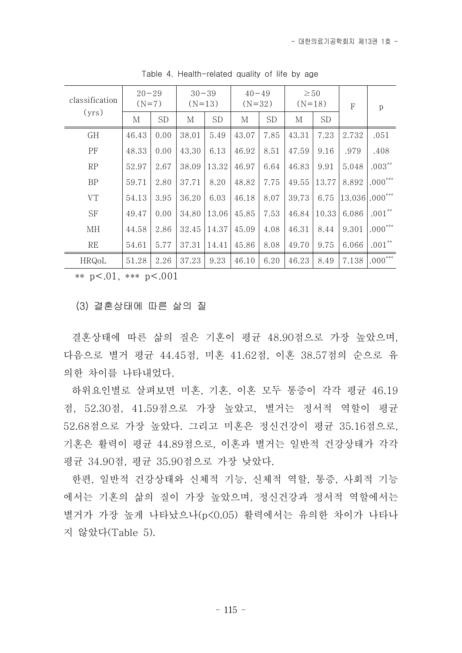| classification | $20 - 29$<br>$(N=7)$ |           | $30 - 39$<br>$(N=13)$ |           | $40 - 49$<br>$(N=32)$ |           | $\geq 50$<br>$(N=18)$ |           | $\rm F$          | $\mathbf{p}$ |
|----------------|----------------------|-----------|-----------------------|-----------|-----------------------|-----------|-----------------------|-----------|------------------|--------------|
| (yrs)          | М                    | <b>SD</b> | М                     | <b>SD</b> | М                     | <b>SD</b> | М                     | <b>SD</b> |                  |              |
| GH             | 46.43                | 0.00      | 38.01                 | 5.49      | 43.07                 | 7.85      | 43.31                 | 7.23      | 2.732            | .051         |
| PF             | 48.33                | 0.00      | 43.30                 | 6.13      | 46.92                 | 8.51      | 47.59                 | 9.16      | .979             | .408         |
| RP             | 52.97                | 2.67      | 38.09                 | 13.32     | 46.97                 | 6.64      | 46.83                 | 9.91      | 5.048            | $.003***$    |
| <b>BP</b>      | 59.71                | 2.80      | 37.71                 | 8.20      | 48.82                 | 7.75      | 49.55                 | 13.77     | 8.892            | $^*000$ .    |
| <b>VT</b>      | 54.13                | 3.95      | 36.20                 | 6.03      | 46.18                 | 8.07      | 39.73                 | 6.75      | $13.036$ .000*** |              |
| SF             | 49.47                | 0.00      | 34.80                 | 13.06     | 45.85                 | 7.53      | 46.84                 | 10.33     | 6.086            | $.001**$     |
| MH             | 44.58                | 2.86      | 32.45                 | 14.37     | 45.09                 | 4.08      | 46.31                 | 8.44      | 9.301            | $.000***$    |
| RE             | 54.61                | 5.77      | 37.31                 | 14.41     | 45.86                 | 8.08      | 49.70                 | 9.75      | 6.066            | $.001**$     |
| HRQoL          | 51.28                | 2.26      | 37.23                 | 9.23      | 46.10                 | 6.20      | 46.23                 | 8.49      | 7.138            | $000***$     |

Table 4. Health-related quality of life by age

\*\*  $p < .01$ , \*\*\*  $p < .001$ 

(3) 결혼상태에 따른 삶의 질

결혼상태에 따른 삶의 질은 기혼이 평균 48.90점으로 가장 높았으며, 다음으로 별거 평균 44.45점, 미혼 41.62점, 이혼 38.57점의 순으로 유 의한 차이를 나타내었다.<br>-<br>- 하위요인별로 살펴보면 미혼, 기혼, 이혼 모두 통증이 각각 평균 46.19

점, 52.30점, 41.59점으로 가장 높았고, 별거는 정서적 역할이 평균 52.68점으로 가장 높았다. 그리고 미혼은 정신건강이 평균 35.16점으로,<br>기혼은 활력이 평균 44.89점으로, 이혼과 별거는 일반적 건강상태가 각각 평균 34.90점, 평균 35.90점으로 가장 낮았다.

한편, 일반적 건강상태와 신체적 기능, 신체적 역할, 통증, 사회적 기능 에서는 기혼의 삶의 질이 가장 높았으며, 정신건강과 정서적 역할에서는 별거가 가장 높게 나타났으나(p<0.05) 활력에서는 유의한 차이가 나타나 지 않았다(Table 5).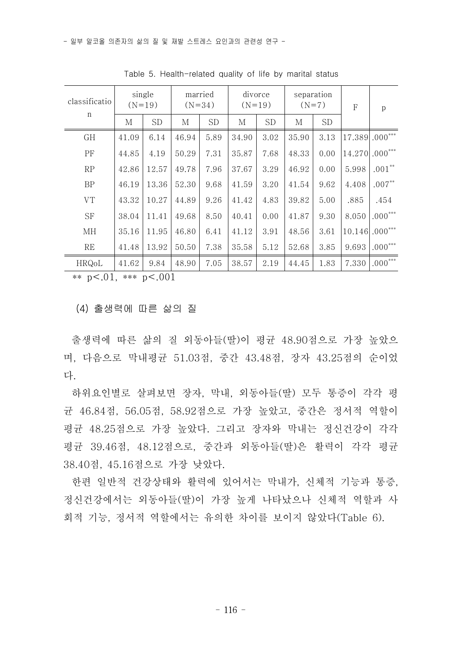| classificatio | single<br>$(N=19)$ |           | married<br>$(N=34)$ |           | divorce<br>$(N=19)$ |           | separation<br>$(N=7)$ |           | F                 | p         |
|---------------|--------------------|-----------|---------------------|-----------|---------------------|-----------|-----------------------|-----------|-------------------|-----------|
| n             | М                  | <b>SD</b> | М                   | <b>SD</b> | M                   | <b>SD</b> | М                     | <b>SD</b> |                   |           |
| GH            | 41.09              | 6.14      | 46.94               | 5.89      | 34.90               | 3.02      | 35.90                 | 3.13      | 17.389 .000***    |           |
| PF            | 44.85              | 4.19      | 50.29               | 7.31      | 35.87               | 7.68      | 48.33                 | 0.00      | $14.270$ .000***  |           |
| RP            | 42.86              | 12.57     | 49.78               | 7.96      | 37.67               | 3.29      | 46.92                 | 0.00      | 5.998             | $.001**$  |
| <b>BP</b>     | 46.19              | 13.36     | 52.30               | 9.68      | 41.59               | 3.20      | 41.54                 | 9.62      | 4.408             | $.007**$  |
| ${\rm VT}$    | 43.32              | 10.27     | 44.89               | 9.26      | 41.42               | 4.83      | 39.82                 | 5.00      | .885              | .454      |
| <b>SF</b>     | 38.04              | 11.41     | 49.68               | 8.50      | 40.41               | 0.00      | 41.87                 | 9.30      | 8.050             | $.000***$ |
| МH            | 35.16              | 11.95     | 46.80               | 6.41      | 41.12               | 3.91      | 48.56                 | 3.61      | $ 10.146 .000***$ |           |
| <b>RE</b>     | 41.48              | 13.92     | 50.50               | 7.38      | 35.58               | 5.12      | 52.68                 | 3.85      | 9.693             | $.000***$ |
| HRQoL         | 41.62              | 9.84      | 48.90               | 7.05      | 38.57               | 2.19      | 44.45                 | 1.83      | 7.330             | $.000***$ |

Table 5. Health-related quality of life by marital status

\*\* p<.01, \*\*\* p<.001

(4) 출생력에 따른 삶의 질

출생력에 따른 삶의 질 외동아들(딸)이 평균 48.90점으로 가장 높았으 며, 다음으로 막내평균 51.03점, 중간 43.48점, 장자 43.25점의 순이었 다. 하위요인별로 살펴보면 장자, 막내, 외동아들(딸) 모두 통증이 각각 평

균 46.84점, 56.05점, 58.92점으로 가장 높았고, 중간은 정서적 역할이 평균 48.25점으로 가장 높았다. 그리고 장자와 막내는 정신건강이 각각 평균 39.46점, 48.12점으로, 중간과 외동아들(딸)은 활력이 각각 평균 38.40점, 45.16점으로 가장 낮았다.

- 한편 일반적 건강상태와 활력에 있어서는 막내가, 신체적 기능과 통증,<br>정신건강에서는 외동아들(딸)이 가장 높게 나타났으나 신체적 역할과 사 회적 기능, 정서적 역할에서는 유의한 차이를 보이지 않았다(Table 6).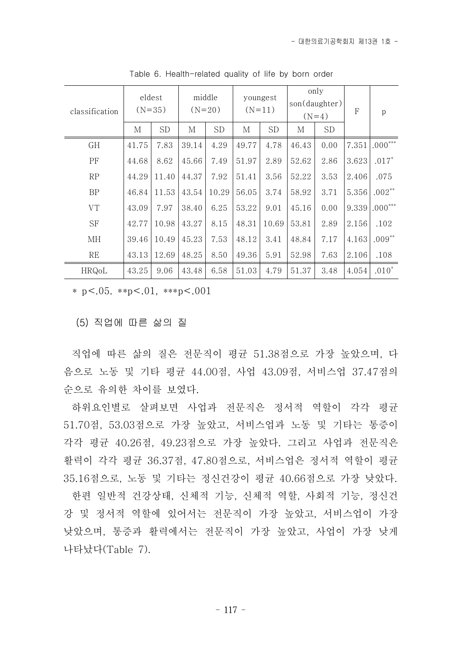| classification | eldest<br>$(N=35)$ |           | middle<br>$(N=20)$ |           |       | youngest<br>$(N=11)$ |       | only<br>son(daughter)<br>$(N=4)$ |       | $\mathbf{p}$ |
|----------------|--------------------|-----------|--------------------|-----------|-------|----------------------|-------|----------------------------------|-------|--------------|
|                | М                  | <b>SD</b> | М                  | <b>SD</b> | М     | <b>SD</b>            | М     | <b>SD</b>                        |       |              |
| GH             | 41.75              | 7.83      | 39.14              | 4.29      | 49.77 | 4.78                 | 46.43 | 0.00                             | 7.351 | $000***$     |
| PF             | 44.68              | 8.62      | 45.66              | 7.49      | 51.97 | 2.89                 | 52.62 | 2.86                             | 3.623 | $.017*$      |
| RP             | 44.29              | 11.40     | 44.37              | 7.92      | 51.41 | 3.56                 | 52.22 | 3.53                             | 2.406 | .075         |
| <b>BP</b>      | 46.84              | 11.53     | 43.54              | 10.29     | 56.05 | 3.74                 | 58.92 | 3.71                             | 5.356 | $.002**$     |
| ${\rm VT}$     | 43.09              | 7.97      | 38.40              | 6.25      | 53.22 | 9.01                 | 45.16 | 0.00                             | 9.339 | $000***$     |
| <b>SF</b>      | 42.77              | 10.98     | 43.27              | 8.15      | 48.31 | 10.69                | 53.81 | 2.89                             | 2.156 | .102         |
| МH             | 39.46              | 10.49     | 45.23              | 7.53      | 48.12 | 3.41                 | 48.84 | 7.17                             | 4.163 | $.009**$     |
| <b>RE</b>      | 43.13              | 12.69     | 48.25              | 8.50      | 49.36 | 5.91                 | 52.98 | 7.63                             | 2.106 | .108         |
| HRQoL          | 43.25              | 9.06      | 43.48              | 6.58      | 51.03 | 4.79                 | 51.37 | 3.48                             | 4.054 | $.010*$      |

Table 6. Health-related quality of life by born order

\* p <.05. \*\*p <.01, \*\*\*p <.001

(5) 직업에 따른 삶의 질

직업에 따른 삶의 질은 전문직이 평균 51.38점으로 가장 높았으며, 다 음으로 노동 및 기타 평균 44.00점, 사업 43.09점, 서비스업 37.47점의 순으로 유의한 차이를 보였다.

하위요인별로 살펴보면 사업과 전문직은 정서적 역할이 각각 평균 51.70점, 53.03점으로 가장 높았고, 서비스업과 노동 및 기타는 통증이 각각 평균 40.26점, 49.23점으로 가장 높았다. 그리고 사업과 전문직은 활력이 각각 평균 36.37점, 47.80점으로, 서비스업은 정서적 역할이 평균 35.16점으로, 노동 및 기타는 정신건강이 평균 40.66점으로 가장 낮았다.

한편 일반적 건강상태, 신체적 기능, 신체적 역할, 사회적 기능, 정신건 강 및 정서적 역할에 있어서는 전문직이 가장 높았고, 서비스업이 가장 낮았으며, 통증과 활력에서는 전문직이 가장 높았고, 사업이 가장 낮게 나타났다(Table 7).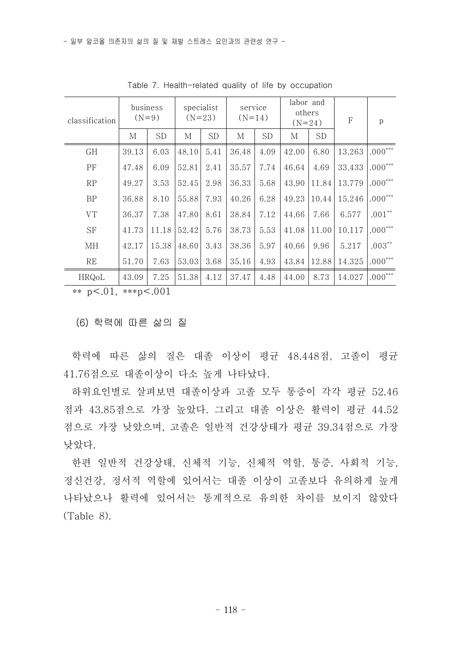| classification | business<br>$(N=9)$ |           | specialist<br>$(N=23)$ |           | service<br>$(N=14)$ |           | labor and<br>others<br>$(N=24)$ |           | F      | p         |
|----------------|---------------------|-----------|------------------------|-----------|---------------------|-----------|---------------------------------|-----------|--------|-----------|
|                | М                   | <b>SD</b> | М                      | <b>SD</b> | М                   | <b>SD</b> | М                               | <b>SD</b> |        |           |
| <b>GH</b>      | 39.13               | 6.03      | 48.10                  | 5.41      | 36.48               | 4.09      | 42.00                           | 6.80      | 13.263 | $.000***$ |
| PF             | 47.48               | 6.09      | 52.81                  | 2.41      | 35.57               | 7.74      | 46.64                           | 4.69      | 33.433 | $.000***$ |
| RP             | 49.27               | 3.53      | 52.45                  | 2.98      | 36.33               | 5.68      | 43.90                           | 11.84     | 13.779 | $.000***$ |
| BP             | 36.88               | 8.10      | 55.88                  | 7.93      | 40.26               | 6.28      | 49.23                           | 10.44     | 15.246 | $.000***$ |
| <b>VT</b>      | 36.37               | 7.38      | 47.80                  | 8.61      | 38.84               | 7.12      | 44.66                           | 7.66      | 6.577  | $.001**$  |
| <b>SF</b>      | 41.73               | 11.18     | 52.42                  | 5.76      | 38.73               | 5.53      | 41.08                           | 11.00     | 10.117 | $.000***$ |
| МH             | 42.17               | 15.38     | 48.60                  | 3.43      | 38.36               | 5.97      | 40.66                           | 9.96      | 5.217  | $.003***$ |
| RE             | 51.70               | 7.63      | 53.03                  | 3.68      | 35.16               | 4.93      | 43.84                           | 12.88     | 14.325 | $.000***$ |
| HRQoL          | 43.09               | 7.25      | 51.38                  | 4.12      | 37.47               | 4.48      | 44.00                           | 8.73      | 14.027 | $.000***$ |

Table 7. Health-related quality of life by occupation

\*\*  $p < .01$ , \*\*\*p $< .001$ 

(6) 학력에 따른 삶의 질

학력에 따른 삶의 질은 대졸 이상이 평균 48.448점, 고졸이 평균 41.76점으로 대졸이상이 다소 높게 나타났다.

하위요인별로 살펴보면 대졸이상과 고졸 모두 통증이 각각 평균 52.46 점과 43.85점으로 가장 높았다. 그리고 대졸 이상은 활력이 평균 44.52 점으로 가장 낮았으며, 고졸은 일반적 건강상태가 평균 39.34점으로 가장

낮았다.<br>- 한편 일반적 건강상태, 신체적 기능, 신체적 역할, 통증, 사회적 기능,<br>정신건강, 정서적 역할에 있어서는 대졸 이상이 고졸보다 유의하게 높게 나타났으나 활력에 있어서는 통계적으로 유의한 차이를 보이지 않았다 (Table 8).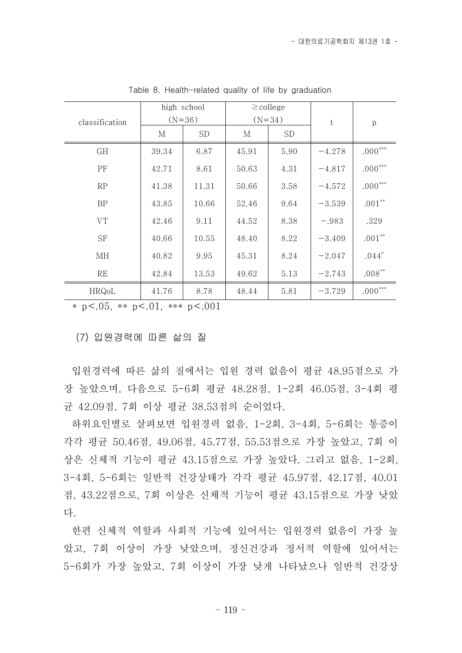|                |       | high school |       | $\geq$ college |          |              |
|----------------|-------|-------------|-------|----------------|----------|--------------|
| classification |       | $(N=36)$    |       | $(N=34)$       | t.       | p            |
|                | М     | SD.         | М     | SD.            |          |              |
| GH             | 39.34 | 6.87        | 45.91 | 5.90           | $-4.278$ | $.000^{***}$ |
| <b>PF</b>      | 42.71 | 8.61        | 50.63 | 4.31           | $-4.817$ | $.000***$    |
| RP             | 41.38 | 11.31       | 50.66 | 3.58           | $-4.572$ | $.000***$    |
| <b>BP</b>      | 43.85 | 10.66       | 52.46 | 9.64           | $-3.539$ | $.001**$     |
| <b>VT</b>      | 42.46 | 9.11        | 44.52 | 8.38           | $-.983$  | .329         |
| <b>SF</b>      | 40.66 | 10.55       | 48.40 | 8.22           | $-3.409$ | $.001**$     |
| ΜН             | 40.82 | 9.95        | 45.31 | 8.24           | $-2.047$ | $.044*$      |
| <b>RE</b>      | 42.84 | 13.53       | 49.62 | 5.13           | $-2.743$ | $.008**$     |
| HRQoL          | 41.76 | 8.78        | 48.44 | 5.81           | $-3.729$ | $.000***$    |

Table 8. Health-related quality of life by graduation

\* p<.05, \*\* p<.01, \*\*\* p<.001

#### (7) 입원경력에 따른 삶의 질

입원경력에 따른 삶의 질에서는 입원 경력 없음이 평균 48.95점으로 가 장 높았으며, 다음으로 5-6회 평균 48.28점, 1-2회 46.05점, 3-4회 평 균 42.09점, 7회 이상 평균 38.53점의 순이었다.

하위요인별로 살펴보면 입원경력 없음, 1-2회, 3-4회, 5-6회는 통증이 각각 평균 50.46점, 49.06점, 45.77점, 55.53점으로 가장 높았고, 7회 이 상은 신체적 기능이 평균 43.15점으로 가장 높았다. 그리고 없음, 1-2회,<br>3-4회, 5-6회는 일반적 건강상태가 각각 평균 45.97점, 42.17점, 40.01 점, 43.22점으로, 7회 이상은 신체적 기능이 평균 43.15점으로 가장 낮았 다.<br>-<br>한편 신체적 역할과 사회적 기능에 있어서는 입원경력 없음이 가장 높

았고, 7회 이상이 가장 낮았으며, 정신건강과 정서적 역할에 있어서는 5-6회가 가장 높았고, 7회 이상이 가장 낮게 나타났으나 일반적 건강상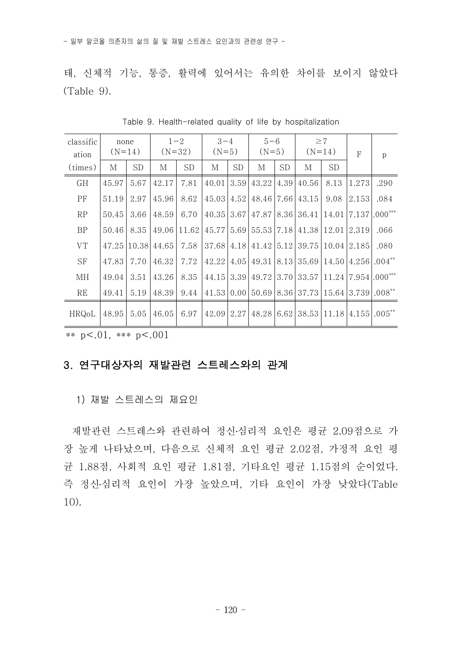태, 신체적 기능, 통증, 활력에 있어서는 유의한 차이를 보이지 않았다  $(Table 9)$ 

| classific<br>ation | none<br>$(N=14)$ |           | $1 - 2$<br>$(N=32)$    |             | $3 - 4$<br>$(N=5)$     |           | $5 - 6$<br>$(N=5)$ |           | $(N=14)$                                                                                 | $\geq$ 7  | $\mathbf{F}$ | p    |
|--------------------|------------------|-----------|------------------------|-------------|------------------------|-----------|--------------------|-----------|------------------------------------------------------------------------------------------|-----------|--------------|------|
| (times)            | М                | <b>SD</b> | М                      | <b>SD</b>   | М                      | <b>SD</b> | М                  | <b>SD</b> | М                                                                                        | <b>SD</b> |              |      |
| GH                 | 45.97            | 5.67      | 42.17                  | 7.81        | $40.01$   3.59         |           |                    |           | $43.22 \mid 4.39 \mid 40.56$                                                             | 8.13      | 1.273        | .290 |
| <b>PF</b>          | 51.19            | 2.97      | 45.96                  | 8.62        | $45.03 \mid 4.52 \mid$ |           |                    |           | 48.46 7.66 43.15                                                                         | 9.08      | 2.153        | .084 |
| RP                 | 50.45            | 3.66      | 48.59                  | 6.70        | $40.35$ 3.67           |           |                    |           | $ 47.87 8.36 36.41 14.01 7.137 .000***$                                                  |           |              |      |
| $\rm BP$           | 50.46            | 8.35      |                        | 49.06 11.62 |                        |           |                    |           | 45.77 5.69 55.53 7.18 41.38 12.01 2.319                                                  |           |              | .066 |
| <b>VT</b>          |                  |           | 47.25 10.38 44.65      | 7.58        |                        |           |                    |           | 37.68 4.18 41.42 5.12 39.75 10.04 2.185                                                  |           |              | .080 |
| SF                 | 47.83            | 7.70      | 46.32                  | 7.72        | $42.22$   4.05         |           |                    |           | $(49.31)8.13$ 35.69 $(14.50)4.256$ .004 <sup>**</sup>                                    |           |              |      |
| МH                 | 49.04            | 3.51      | 43.26                  | 8.35        |                        |           |                    |           | 44.15 3.39 49.72 3.70 33.57 11.24 7.954 .000***                                          |           |              |      |
| RE                 | 49.41            | 5.19      | 48.39                  | 9.44        |                        |           |                    |           | $41.53 0.00 50.69 8.36 37.73 15.64 3.739 0.08^{**}$                                      |           |              |      |
| HRQoL              | 48.95            |           | $5.05 \mid 46.05 \mid$ | 6.97        |                        |           |                    |           | $42.09$   $2.27$   $48.28$   $6.62$   $38.53$   $11.18$   $4.155$   $.005$ <sup>**</sup> |           |              |      |

Table 9. Health-related quality of life by hospitalization

\*\* p<.01, \*\*\* p<.001

### 3. 연구대상자의 재발관련 스트레스와의 관계

1) 재발 스트레스의 제요인

재발관련 스트레스와 관련하여 정신․심리적 요인은 평균 2.09점으로 가 장 높게 나타났으며, 다음으로 신체적 요인 평균 2.02점, 가정적 요인 평 균 1.88점, 사회적 요인 평균 1.81점, 기타요인 평균 1.15점의 순이었다.<br>즉 정신·심리적 요인이 가장 높았으며, 기타 요인이 가장 낮았다(Table 10).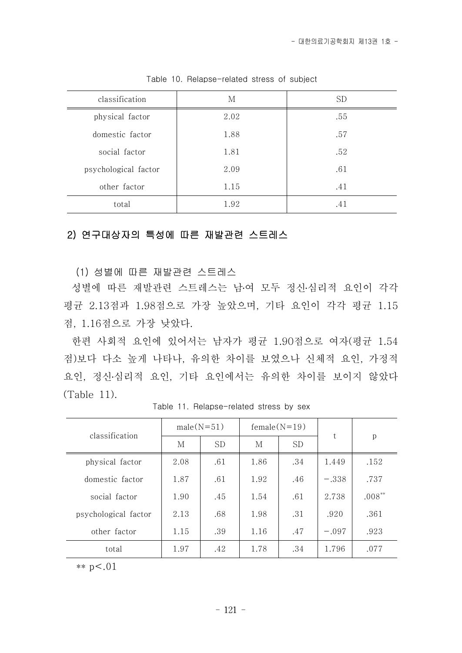| classification       | М    | <b>SD</b> |
|----------------------|------|-----------|
| physical factor      | 2.02 | .55       |
| domestic factor      | 1.88 | .57       |
| social factor        | 1.81 | .52       |
| psychological factor | 2.09 | .61       |
| other factor         | 1.15 | .41       |
| total                | 1.92 | .41       |

Table 10. Relapse-related stress of subject

## 2) 연구대상자의 특성에 따른 재발관련 스트레스

(1) 성별에 따른 재발관련 스트레스

성별에 따른 재발관련 스트레스는 남․여 모두 정신․심리적 요인이 각각 평균 2.13점과 1.98점으로 가장 높았으며, 기타 요인이 각각 평균 1.15

점, 1.16점으로 가장 낮았다.<br>- 한편 사회적 요인에 있어서는 남자가 평균 1.90점으로 여자(평균 1.54 점)보다 다소 높게 나타나, 유의한 차이를 보였으나 신체적 요인, 가정적 요인, 정신․심리적 요인, 기타 요인에서는 유의한 차이를 보이지 않았다 (Table 11).

| classification       | $male(N=51)$ |           | $female(N=19)$ |           |         |           |  |
|----------------------|--------------|-----------|----------------|-----------|---------|-----------|--|
|                      | M            | <b>SD</b> | M              | <b>SD</b> | t       | p         |  |
| physical factor      | 2.08         | .61       | 1.86           | .34       | 1.449   | .152      |  |
| domestic factor      | 1.87         | .61       | 1.92           | .46       | $-.338$ | .737      |  |
| social factor        | 1.90         | .45       | 1.54           | .61       | 2.738   | $.008***$ |  |
| psychological factor | 2.13         | .68       | 1.98           | .31       | .920    | .361      |  |
| other factor         | 1.15         | .39       | 1.16           | .47       | $-.097$ | .923      |  |
| total                | 1.97         | .42       | 1.78           | .34       | 1.796   | .077      |  |

Table 11. Relapse-related stress by sex

\*\*  $p < .01$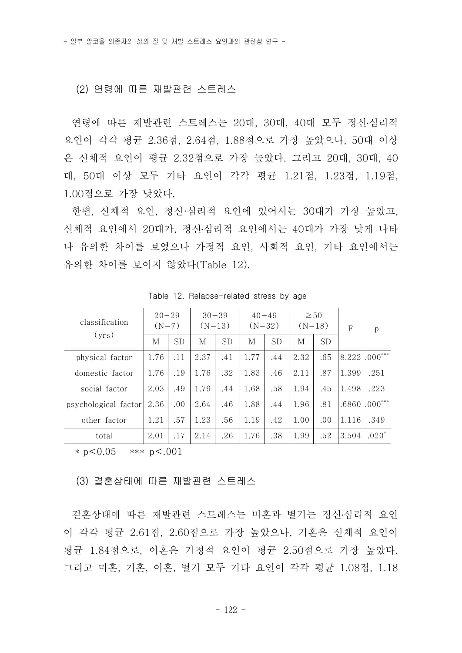#### (2) 연령에 따른 재발관련 스트레스

연령에 따른 재발관련 스트레스는 20대, 30대, 40대 모두 정신․심리적 요인이 각각 평균 2.36점, 2.64점, 1.88점으로 가장 높았으나, 50대 이상 은 신체적 요인이 평균 2.32점으로 가장 높았다. 그리고 20대, 30대, 40 대, 50대 이상 모두 기타 요인이 각각 평균 1.21점, 1.23점, 1.19점,<br>1.00점으로 가장 낮았다.

- 한편, 신체적 요인, 정신·심리적 요인에 있어서는 30대가 가장 높았고,<br>신체적 요인에서 20대가, 정신·심리적 요인에서는 40대가 가장 낮게 나타 나 유의한 차이를 보였으나 가정적 요인, 사회적 요인, 기타 요인에서는 유의한 차이를 보이지 않았다(Table 12).

| classification       |      | $20 - 29$<br>$(N=7)$ |      | $30 - 39$<br>$(N=13)$ | $40 - 49$<br>$(N=32)$ |           | $(N=18)$ | $\geq 50$ | $\mathsf{F}$ | p               |
|----------------------|------|----------------------|------|-----------------------|-----------------------|-----------|----------|-----------|--------------|-----------------|
| (vrs)                | M    | <b>SD</b>            | M    | <b>SD</b>             | М                     | <b>SD</b> | М        | <b>SD</b> |              |                 |
| physical factor      | 1.76 | .11                  | 2.37 | .41                   | 1.77                  | .44       | 2.32     | .65       |              | $8.222$ .000*** |
| domestic factor      | 1.76 | .19                  | 1.76 | .32                   | 1.83                  | .46       | 2.11     | .87       | 1.399        | .251            |
| social factor        | 2.03 | .49                  | 1.79 | .44                   | 1.68                  | .58       | 1.94     | .45       | 1.498        | .223            |
| psychological factor | 2.36 | .00                  | 2.64 | .46                   | 1.88                  | .44       | 1.96     | .81       | .68601       | $000***$        |
| other factor         | 1.21 | .57                  | 1.23 | .56                   | 1.19                  | .42       | 1.00     | .00       | 1.116        | .349            |
| total                | 2.01 | .17                  | 2.14 | .26                   | 1.76                  | .38       | 1.99     | .52       | 3.504        | $.020*$         |

Table 12. Relapse-related stress by age

\* p<0.05 \*\*\* p<.001

(3) 결혼상태에 따른 재발관련 스트레스

결혼상태에 따른 재발관련 스트레스는 미혼과 별거는 정신․심리적 요인 이 각각 평균 2.61점, 2.60점으로 가장 높았으나, 기혼은 신체적 요인이 평균 1.84점으로, 이혼은 가정적 요인이 평균 2.50점으로 가장 높았다.<br>그리고 미혼, 기혼, 이혼, 별거 모두 기타 요인이 각각 평균 1.08점, 1.18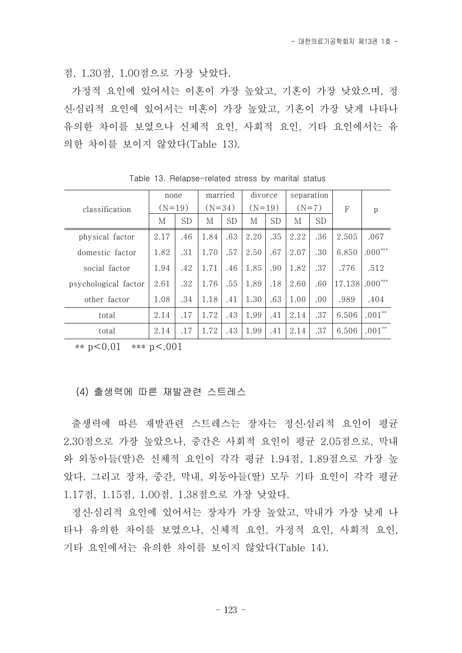점, 1.30점, 1.00점으로 가장 낮았다.

가정적 요인에 있어서는 이혼이 가장 높았고, 기혼이 가장 낮았으며, 정 신․심리적 요인에 있어서는 미혼이 가장 높았고, 기혼이 가장 낮게 나타나 유의한 차이를 보였으나 신체적 요인, 사회적 요인, 기타 요인에서는 유 의한 차이를 보이지 않았다(Table 13).

|                      | none     |           |      | married   |      | divorce   |         | separation |        |           |
|----------------------|----------|-----------|------|-----------|------|-----------|---------|------------|--------|-----------|
| classification       | $(N=19)$ |           |      | $(N=34)$  |      | $(N=19)$  | $(N=7)$ |            | F      | p         |
|                      | М        | <b>SD</b> | М    | <b>SD</b> | М    | <b>SD</b> | М       | <b>SD</b>  |        |           |
| physical factor      | 2.17     | .46       | 1.84 | .63       | 2.20 | .35       | 2.22    | .36        | 2.505  | .067      |
| domestic factor      | 1.82     | .31       | 1.70 | .57       | 2.50 | .67       | 2.07    | .30        | 6.850  | $.000***$ |
| social factor        | 1.94     | .42       | 1.71 | .46       | 1.85 | .90       | 1.82    | .37        | .776   | .512      |
| psychological factor | 2.61     | .32       | 1.76 | .55       | 1.89 | .18       | 2.60    | .60        | 17.138 | $000***$  |
| other factor         | 1.08     | .34       | 1.18 | .41       | 1.30 | .63       | 1.00    | .00.       | .989   | .404      |
| total                | 2.14     | .17       | 1.72 | .43       | 1.99 | .41       | 2.14    | .37        | 6.506  | $.001**$  |
| total                | 2.14     | .17       | 1.72 | .43       | 1.99 | .41       | 2.14    | .37        | 6.506  | $.001**$  |

Table 13. Relapse-related stress by marital status

\*\*  $p < 0.01$  \*\*\*  $p < .001$ 

(4) 출생력에 따른 재발관련 스트레스

출생력에 따른 재발관련 스트레스는 장자는 정신․심리적 요인이 평균 2.30점으로 가장 높았으나, 중간은 사회적 요인이 평균 2.05점으로, 막내 와 외동아들(딸)은 신체적 요인이 각각 평균 1.94점, 1.89점으로 가장 높 았다. 그리고 장자, 중간, 막내, 외동아들(딸) 모두 기타 요인이 각각 평균 1.17점, 1.15점, 1.00점, 1.38점으로 가장 낮았다.

정신․심리적 요인에 있어서는 장자가 가장 높았고, 막내가 가장 낮게 나 타나 유의한 차이를 보였으나, 신체적 요인, 가정적 요인, 사회적 요인,<br>기타 요인에서는 유의한 차이를 보이지 않았다(Table 14).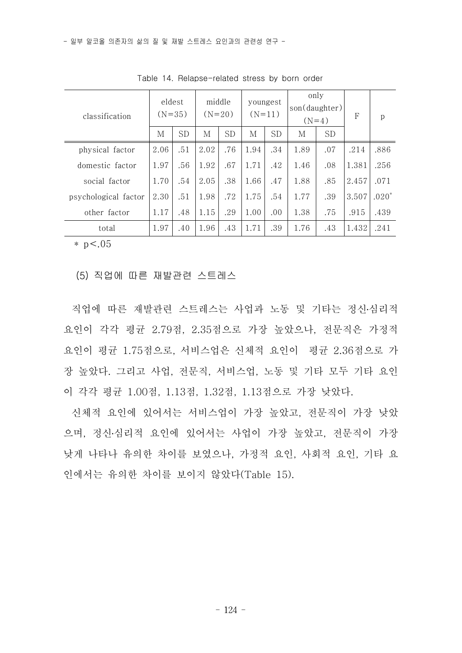| classification       | eldest<br>$(N=35)$                    |     | middle<br>$(N=20)$ |     | youngest  | $(N=11)$ | only<br>son(daughter)<br>$(N=4)$ |     | F     | p       |
|----------------------|---------------------------------------|-----|--------------------|-----|-----------|----------|----------------------------------|-----|-------|---------|
|                      | SD<br>М<br>2.06<br>.51<br>1.97<br>.56 | M   | <b>SD</b>          | M   | <b>SD</b> | М        | <b>SD</b>                        |     |       |         |
| physical factor      |                                       |     | 2.02               | .76 | 1.94      | .34      | 1.89                             | .07 | .214  | .886    |
| domestic factor      |                                       |     | 1.92               | .67 | 1.71      | .42      | 1.46                             | .08 | 1.381 | .256    |
| social factor        | 1.70                                  | .54 | 2.05               | .38 | 1.66      | .47      | 1.88                             | .85 | 2.457 | .071    |
| psychological factor | 2.30                                  | .51 | 1.98               | .72 | 1.75      | .54      | 1.77                             | .39 | 3.507 | $.020*$ |
| other factor         | 1.17                                  | .48 | 1.15<br>.29        |     | 1.00      | .00      | 1.38                             | .75 | .915  | .439    |
| total                | 1.97                                  | .40 | 1.96               | .43 | 1.71      | .39      | 1.76                             | .43 | 1.432 | .241    |

Table 14. Relapse-related stress by born order

 $*$  p  $< 0.05$ 

(5) 직업에 따른 재발관련 스트레스

직업에 따른 재발관련 스트레스는 사업과 노동 및 기타는 정신․심리적 요인이 각각 평균 2.79점, 2.35점으로 가장 높았으나, 전문직은 가정적 요인이 평균 1.75점으로, 서비스업은 신체적 요인이 평균 2.36점으로 가 장 높았다. 그리고 사업, 전문직, 서비스업, 노동 및 기타 모두 기타 요인 이 각각 평균 1.00점, 1.13점, 1.32점, 1.13점으로 가장 낮았다.

신체적 요인에 있어서는 서비스업이 가장 높았고, 전문직이 가장 낮았 으며, 정신․심리적 요인에 있어서는 사업이 가장 높았고, 전문직이 가장 낮게 나타나 유의한 차이를 보였으나, 가정적 요인, 사회적 요인, 기타 요 인에서는 유의한 차이를 보이지 않았다(Table 15).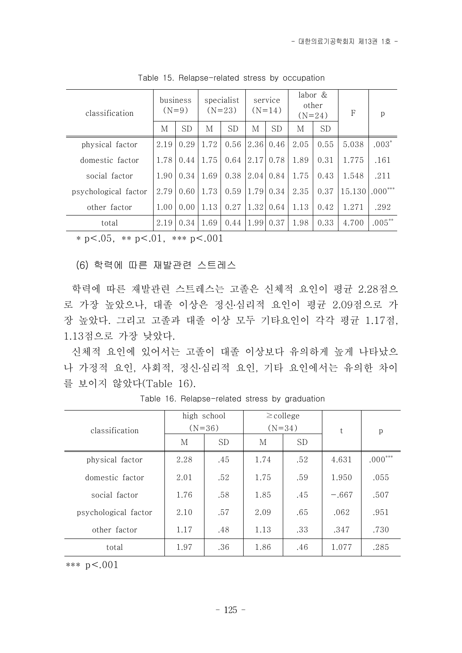| classification       |      | business<br>$(N=9)$ |      | specialist<br>$(N=23)$ | service<br>$(N=14)$ |           | labor &<br>other<br>$(N=24)$ |           | F      | p         |
|----------------------|------|---------------------|------|------------------------|---------------------|-----------|------------------------------|-----------|--------|-----------|
|                      | M    | <b>SD</b>           | М    | SD                     | M                   | <b>SD</b> | M                            | <b>SD</b> |        |           |
| physical factor      | 2.19 | 0.29                | 1.72 | 0.56                   | 2.36                | 0.46      | 2.05                         | 0.55      | 5.038  | $.003*$   |
| domestic factor      | 1.78 | 0.44                | 1.75 | 0.64                   | 2.17                | 0.78      | 1.89                         | 0.31      | 1.775  | .161      |
| social factor        | 1.90 | 0.34                | 1.69 | 0.38                   | 2.04                | 0.84      | 1.75                         | 0.43      | 1.548  | .211      |
| psychological factor | 2.79 | 0.60                | 1.73 | 0.59                   | 1.79                | 0.34      | 2.35                         | 0.37      | 15.130 | $.000***$ |
| other factor         | 1.00 | 0.00                | 1.13 | 0.27                   | 1.32                | 0.64      | 1.13                         | 0.42      | 1.271  | .292      |
| total                | 2.19 | 0.34                | 1.69 | 0.44                   | 1.99                | 0.37      | 1.98                         | 0.33      | 4.700  | $.005***$ |

Table 15. Relapse-related stress by occupation

 $* p < .05$ ,  $* p < .01$ ,  $* * p < .001$ 

(6) 학력에 따른 재발관련 스트레스

학력에 따른 재발관련 스트레스는 고졸은 신체적 요인이 평균 2.28점으 로 가장 높았으나, 대졸 이상은 정신․심리적 요인이 평균 2.09점으로 가 장 높았다. 그리고 고졸과 대졸 이상 모두 기타요인이 각각 평균 1.17점,<br>1.13점으로 가장 낮았다.<br>- 신체적 요인에 있어서는 고졸이 대졸 이상보다 유의하게 높게 나타났으

나 가정적 요인, 사회적, 정신․심리적 요인, 기타 요인에서는 유의한 차이 를 보이지 않았다(Table 16).

|                      |      | high school |      | $\geq$ college |         |           |  |
|----------------------|------|-------------|------|----------------|---------|-----------|--|
| classification       |      | $(N=36)$    |      | $(N=34)$       | t       | p         |  |
|                      | M    | SD.         | M    | <b>SD</b>      |         |           |  |
| physical factor      | 2.28 | .45         | 1.74 | .52            | 4.631   | $.000***$ |  |
| domestic factor      | 2.01 | .52         | 1.75 | .59            | 1.950   | .055      |  |
| social factor        | 1.76 | .58         | 1.85 | .45            | $-.667$ | .507      |  |
| psychological factor | 2.10 | .57         | 2.09 | .65            | .062    | .951      |  |
| other factor         | 1.17 | .48         | 1.13 | .33            | .347    | .730      |  |
| total                | 1.97 | .36         | 1.86 | .46            | 1.077   | .285      |  |

Table 16. Relapse-related stress by graduation

\*\*\* p<.001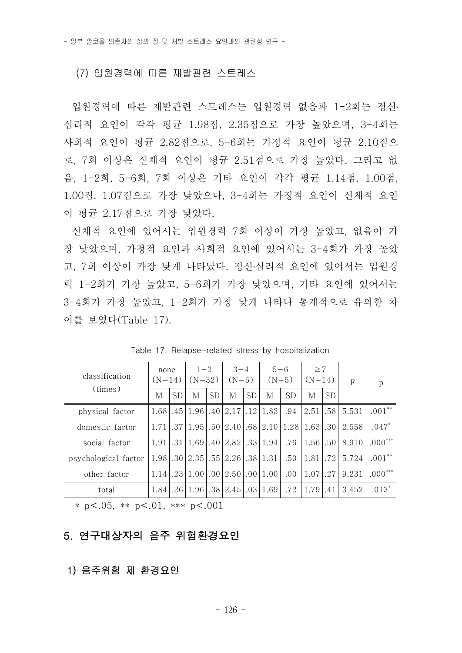#### (7) 입원경력에 따른 재발관련 스트레스

입원경력에 따른 재발관련 스트레스는 입원경력 없음과 1-2회는 정신․ 심리적 요인이 각각 평균 1.98점, 2.35점으로 가장 높았으며, 3-4회는 사회적 요인이 평균 2.82점으로, 5-6회는 가정적 요인이 평균 2.10점으 로, 7회 이상은 신체적 요인이 평균 2.51점으로 가장 높았다. 그리고 없 음, 1-2회, 5-6회, 7회 이상은 기타 요인이 각각 평균 1.14점, 1.00점,<br>1.00점, 1.07점으로 가장 낮았으나, 3-4회는 가정적 요인이 신체적 요인 이 평균 2.17점으로 가장 낮았다.

신체적 요인에 있어서는 입원경력 7회 이상이 가장 높았고, 없음이 가 장 낮았으며, 가정적 요인과 사회적 요인에 있어서는 3-4회가 가장 높았 고, 7회 이상이 가장 낮게 나타났다. 정신․심리적 요인에 있어서는 입원경 력 1-2회가 가장 높았고, 5-6회가 가장 낮았으며, 기타 요인에 있어서는 3-4회가 가장 높았고, 1-2회가 가장 낮게 나타나 통계적으로 유의한 차 이를 보였다(Table 17).

| classification       | none<br>$(N=14)$ |           | $1 - 2$<br>$(N=32)$ |           | $3 - 4$<br>$(N=5)$ |           |                      | $5 - 6$<br>$(N=5)$ | $\geq 7$<br>$(N=14)$ |                  | $\mathsf{F}$ | p         |  |
|----------------------|------------------|-----------|---------------------|-----------|--------------------|-----------|----------------------|--------------------|----------------------|------------------|--------------|-----------|--|
| (times)              | М                | <b>SD</b> | М                   | <b>SD</b> | М                  | <b>SD</b> | M                    | <b>SD</b>          | M                    | <b>SD</b>        |              |           |  |
| physical factor      | 1.68             |           | .45 1.96            |           | $.40$   2.17       |           | .12 1.83             | .94                | 2.51                 | .581             | 5.531        | $.001**$  |  |
| domestic factor      | 1.71             |           | $.37 \mid 1.95$     |           | $.50\, \,2.40$     |           | .68 2.10             | 1.28               | 1.63                 | .30              | 2.558        | $.047*$   |  |
| social factor        | 1.91             |           | $.31 \mid 1.69$     |           | $.40\, 2.82 $      |           | $.33 \mid 1.94 \mid$ | .76                | 1.56 .50             |                  | 8.910        | $.000***$ |  |
| psychological factor | 1.98             |           | $.30\, \,2.35$      |           | .55 2.26           |           | $.38 \mid 1.31$      | .50                | 1.81                 | .72 <sub>1</sub> | 5.724        | $.001**$  |  |
| other factor         | 1.14             |           | $.23 \mid 1.00$     | .00.      | $\vert 2.50 \vert$ |           | .00 1.00             | .00.               | 1.07                 | .27              | 9.231        | $.000***$ |  |
| total                | 1.84             |           | .26 1.96            |           | $.38 \mid 2.45$    |           | .03 1.69             | .72                | 1.79                 | .41              | 3.452        | $.013*$   |  |

Table 17. Relapse-related stress by hospitalization

\* p<.05, \*\* p<.01, \*\*\* p<.001

## 5. 연구대상자의 음주 위험환경요인

#### 1) 음주위험 제 환경요인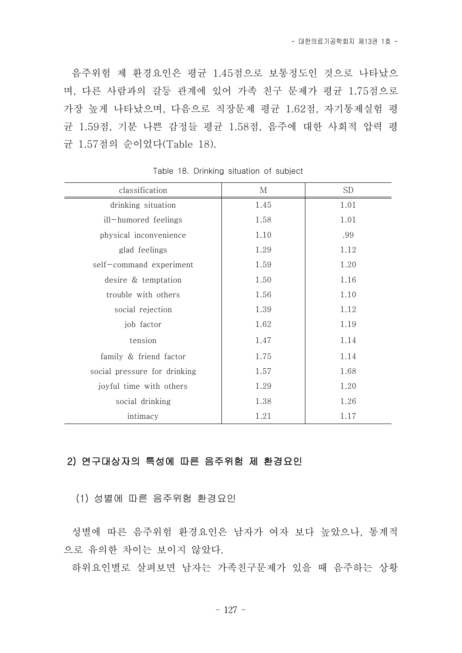음주위험 제 환경요인은 평균 1.45점으로 보통정도인 것으로 나타났으 며, 다른 사람과의 갈등 관계에 있어 가족 친구 문제가 평균 1.75점으로 가장 높게 나타났으며, 다음으로 직장문제 평균 1.62점, 자기통제실험 평 균 1.59점, 기분 나쁜 감정들 평균 1.58점, 음주에 대한 사회적 압력 평 균 1.57점의 순이었다(Table 18).

| classification               | М    | <b>SD</b> |
|------------------------------|------|-----------|
| drinking situation           | 1.45 | 1.01      |
| ill-humored feelings         | 1.58 | 1.01      |
| physical inconvenience       | 1.10 | .99       |
| glad feelings                | 1.29 | 1.12      |
| self-command experiment      | 1.59 | 1.20      |
| desire & temptation          | 1.50 | 1.16      |
| trouble with others          | 1.56 | 1.10      |
| social rejection             | 1.39 | 1.12      |
| job factor                   | 1.62 | 1.19      |
| tension                      | 1.47 | 1.14      |
| family & friend factor       | 1.75 | 1.14      |
| social pressure for drinking | 1.57 | 1.68      |
| joyful time with others      | 1.29 | 1.20      |
| social drinking              | 1.38 | 1.26      |
| intimacy                     | 1.21 | 1.17      |

Table 18. Drinking situation of subject

### 2) 연구대상자의 특성에 따른 음주위험 제 환경요인

(1) 성별에 따른 음주위험 환경요인

성별에 따른 음주위험 환경요인은 남자가 여자 보다 높았으나, 통계적 으로 유의한 차이는 보이지 않았다.

하위요인별로 살펴보면 남자는 가족친구문제가 있을 때 음주하는 상황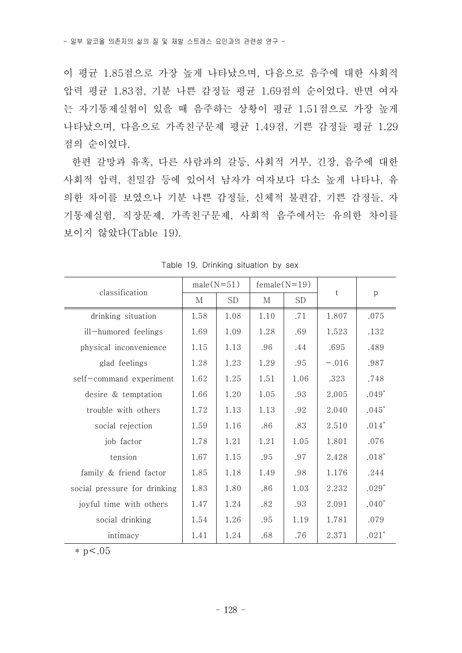이 평균 1.85점으로 가장 높게 나타났으며, 다음으로 음주에 대한 사회적 압력 평균 1.83점, 기분 나쁜 감정들 평균 1.69점의 순이었다. 반면 여자 는 자기통제실험이 있을 때 음주하는 상황이 평균 1.51점으로 가장 높게 나타났으며, 다음으로 가족친구문제 평균 1.49점, 기쁜 감정들 평균 1.29 점의 순이었다.<br>-<br>- 한편 갈망과 유혹, 다른 사람과의 갈등, 사회적 거부, 긴장, 음주에 대한

사회적 압력, 친밀감 등에 있어서 남자가 여자보다 다소 높게 나타나, 유 의한 차이를 보였으나 기분 나쁜 감정들, 신체적 불편감, 기쁜 감정들, 자 기통제실험, 직장문제, 가족친구문제, 사회적 음주에서는 유의한 차이를 보이지 않았다(Table 19).

|                              |      | $male(N=51)$ |      | $female(N=19)$ |         |              |  |
|------------------------------|------|--------------|------|----------------|---------|--------------|--|
| classification               | М    | <b>SD</b>    | М    | <b>SD</b>      | t       | $\mathbf{p}$ |  |
| drinking situation           | 1.58 | 1.08         | 1.10 | .71            | 1.807   | .075         |  |
| ill-humored feelings         | 1.69 | 1.09         | 1.28 | .69            | 1.523   | .132         |  |
| physical inconvenience       | 1.15 | 1.13         | .96  | .44            | .695    | .489         |  |
| glad feelings                | 1.28 | 1.23         | 1.29 | .95            | $-.016$ | .987         |  |
| self-command experiment      | 1.62 | 1.25         | 1.51 | 1.06           | .323    | .748         |  |
| desire & temptation          | 1.66 | 1.20         | 1.05 | .93            | 2.005   | $.049*$      |  |
| trouble with others          | 1.72 | 1.13         | 1.13 | .92            | 2.040   | $.045*$      |  |
| social rejection             | 1.59 | 1.16         | .86  | .83            | 2.510   | $.014*$      |  |
| job factor                   | 1.78 | 1.21         | 1.21 | 1.05           | 1.801   | .076         |  |
| tension                      | 1.67 | 1.15         | .95  | .97            | 2.428   | $.018*$      |  |
| family & friend factor       | 1.85 | 1.18         | 1.49 | .98            | 1.176   | .244         |  |
| social pressure for drinking | 1.83 | 1.80         | .86  | 1.03           | 2.232   | $.029*$      |  |
| joyful time with others      | 1.47 | 1.24         | .82  | .93            | 2.091   | $.040*$      |  |
| social drinking              | 1.54 | 1.26         | .95  | 1.19           | 1.781   | .079         |  |
| intimacy                     | 1.41 | 1.24         | .68  | .76            | 2.371   | $.021*$      |  |

Table 19. Drinking situation by sex

 $*$  p  $< 0.05$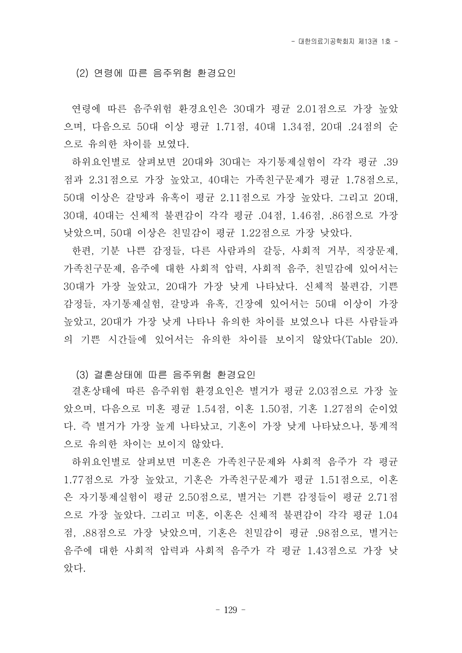(2) 연령에 따른 음주위험 환경요인

연령에 따른 음주위험 환경요인은 30대가 평균 2.01점으로 가장 높았 으며, 다음으로 50대 이상 평균 1.71점, 40대 1.34점, 20대 .24점의 순 으로 유의한 차이를 보였다.

하위요인별로 살펴보면 20대와 30대는 자기통제실험이 각각 평균 .39 점과 2.31점으로 가장 높았고, 40대는 가족친구문제가 평균 1.78점으로,<br>50대 이상은 갈망과 유혹이 평균 2.11점으로 가장 높았다. 그리고 20대,<br>30대. 40대는 신체적 불편감이 각각 평균 .04점, 1.46점, .86점으로 가장 낮았으며, 50대 이상은 친밀감이 평균 1.22점으로 가장 낮았다.

- 한편, 기분 나쁜 감정들, 다른 사람과의 갈등, 사회적 거부, 직장문제,<br>가족친구문제, 음주에 대한 사회적 압력, 사회적 음주, 친밀감에 있어서는 30대가 가장 높았고, 20대가 가장 낮게 나타났다. 신체적 불편감, 기쁜 감정들, 자기통제실험, 갈망과 유혹, 긴장에 있어서는 50대 이상이 가장 높았고, 20대가 가장 낮게 나타나 유의한 차이를 보였으나 다른 사람들과 의 기쁜 시간들에 있어서는 유의한 차이를 보이지 않았다(Table 20).

(3) 결혼상태에 따른 음주위험 환경요인

결혼상태에 따른 음주위험 환경요인은 별거가 평균 2.03점으로 가장 높 았으며, 다음으로 미혼 평균 1.54점, 이혼 1.50점, 기혼 1.27점의 순이었 다. 즉 별거가 가장 높게 나타났고, 기혼이 가장 낮게 나타났으나, 통계적 으로 유의한 차이는 보이지 않았다.

하위요인별로 살펴보면 미혼은 가족친구문제와 사회적 음주가 각 평균 1.77점으로 가장 높았고, 기혼은 가족친구문제가 평균 1.51점으로, 이혼 은 자기통제실험이 평균 2.50점으로, 별거는 기쁜 감정들이 평균 2.71점 으로 가장 높았다. 그리고 미혼, 이혼은 신체적 불편감이 각각 평균 1.04 점, .88점으로 가장 낮았으며, 기혼은 친밀감이 평균 .98점으로, 별거는 음주에 대한 사회적 압력과 사회적 음주가 각 평균 1.43점으로 가장 낮 았다.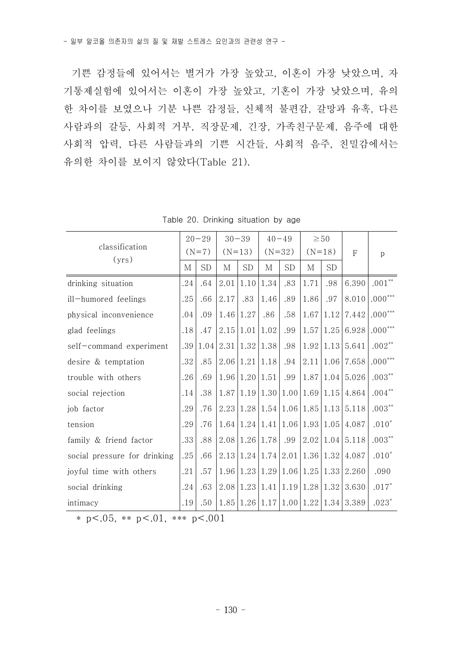기쁜 감정들에 있어서는 별거가 가장 높았고, 이혼이 가장 낮았으며, 자 기통제실험에 있어서는 이혼이 가장 높았고, 기혼이 가장 낮았으며, 유의 한 차이를 보였으나 기분 나쁜 감정들, 신체적 불편감, 갈망과 유혹, 다른 사람과의 갈등, 사회적 거부, 직장문제, 긴장, 가족친구문제, 음주에 대한 사회적 압력, 다른 사람들과의 기쁜 시간들, 사회적 음주, 친밀감에서는 유의한 차이를 보이지 않았다(Table 21).

| classification               |     | $20 - 29$ |          | $30 - 39$                  |      | $40 - 49$                            |                                                               | $\geq 50$ |                                                                    |                |  |
|------------------------------|-----|-----------|----------|----------------------------|------|--------------------------------------|---------------------------------------------------------------|-----------|--------------------------------------------------------------------|----------------|--|
| (yrs)                        |     | $(N=7)$   | $(N=13)$ |                            |      | $(N=32)$                             | $(N=18)$                                                      |           | $\mathbf{F}$                                                       | p              |  |
|                              | М   | <b>SD</b> | М        | <b>SD</b>                  | М    | <b>SD</b>                            | М                                                             | SD.       |                                                                    |                |  |
| drinking situation           | .24 | .64       | 2.01     | 1.10                       | 1.34 | .83                                  | 1.71                                                          | .98       | 6.390                                                              | $.001**$       |  |
| ill-humored feelings         | .25 | .66       | 2.17     | .83                        | 1.46 | .89                                  | 1.86                                                          | .97       | 8.010                                                              | $.000***$      |  |
| physical inconvenience       | .04 | .09       | 1.46     | 1.27                       | .86  | .58                                  | 1.67                                                          |           | $1.12$   $7.442$                                                   | $.000***$      |  |
| glad feelings                | .18 | .47       | 2.15     | 1.01                       | 1.02 | .99                                  | 1.57                                                          | 1.25      | 6.928                                                              | $.000^{***}\,$ |  |
| self-command experiment      | .39 | 1.04      | 2.31     | 1.32 1.38                  |      | .98                                  | 1.92                                                          |           | $1.13 \mid 5.641$                                                  | $.002**$       |  |
| desire & temptation          | .32 | .85       | 2.06     | 1.21                       | 1.18 | .94                                  | 2.11                                                          | 1.06      | 7.658                                                              | $.000^{***}\,$ |  |
| trouble with others          | .26 | .69       |          | $1.96 \mid 1.20 \mid 1.51$ |      | .99                                  | 1.87                                                          |           | $1.04 \mid 5.026$                                                  | $.003***$      |  |
| social rejection             | .14 | .38       |          |                            |      |                                      | $1.87 \mid 1.19 \mid 1.30 \mid 1.00 \mid 1.69 \mid 1.15 \mid$ |           | 4.864                                                              | $.004**$       |  |
| job factor                   | .29 | .76       | 2.23     |                            |      |                                      | $1.28 \mid 1.54 \mid 1.06 \mid 1.85$                          |           | $1.13 \mid 5.118$                                                  | $.003***$      |  |
| tension                      | .29 | .76       |          |                            |      |                                      | $1.64$   1.24   1.41   1.06   1.93                            | 1.05      | 4.087                                                              | $.010*$        |  |
| family & friend factor       | .33 | .88       | 2.08     | 1.26 1.78                  |      | .99                                  | 2.02                                                          |           | $1.04 \mid 5.118$                                                  | $.003***$      |  |
| social pressure for drinking | .25 | .66       | 2.13     |                            |      |                                      | $1.24 \mid 1.74 \mid 2.01 \mid 1.36 \mid$                     | 1.32      | 4.087                                                              | $.010*$        |  |
| joyful time with others      | .21 | .57       | 1.96     |                            |      | $1.23 \mid 1.29 \mid 1.06 \mid 1.25$ |                                                               |           | $1.33 \mid 2.260$                                                  | .090           |  |
| social drinking              | .24 | .63       | 2.08     |                            |      |                                      | 1.23 1.41 1.19 1.28 1.32                                      |           | 3.630                                                              | $.017*$        |  |
| intimacy                     | .19 | .50       | 1.85     |                            |      |                                      |                                                               |           | $\left[1.26\right 1.17\left 1.00\right 1.22\left 1.34\right 3.389$ | $.023*$        |  |

Table 20. Drinking situation by age

\* p <.05, \*\* p <.01, \*\*\* p <.001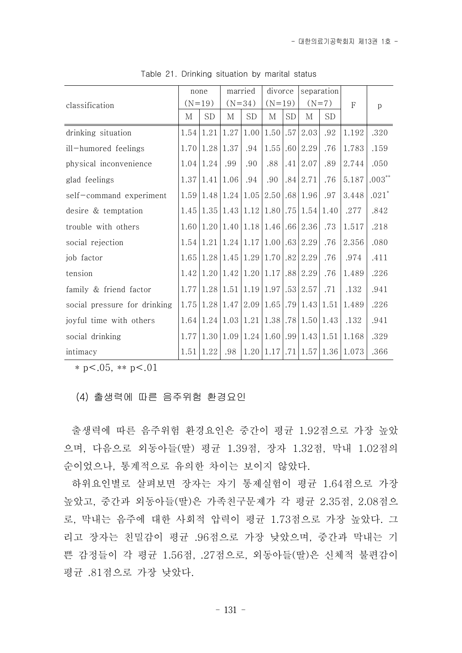|                              | none |                       |                                                                                  | married   | divorce                        |     |                                                              | separation |                                                          |           |  |
|------------------------------|------|-----------------------|----------------------------------------------------------------------------------|-----------|--------------------------------|-----|--------------------------------------------------------------|------------|----------------------------------------------------------|-----------|--|
| classification               |      | $(N=19)$              |                                                                                  | $(N=34)$  | $(N=19)$                       |     | $(N=7)$                                                      |            | $\mathbf{F}$                                             | p         |  |
|                              | М    | SD                    | М                                                                                | <b>SD</b> | М                              | SD. | М                                                            | SD.        |                                                          |           |  |
| drinking situation           |      | $1.54 \mid 1.21$      | 1.27                                                                             |           | $1.00 \mid 1.50 \mid .57 \mid$ |     | 2.03                                                         | .92        | 1.192                                                    | .320      |  |
| ill-humored feelings         |      | 1.70 1.28             | 1.37                                                                             | .94       |                                |     | $1.55$ .60   2.29                                            | .76        | 1.783                                                    | .159      |  |
| physical inconvenience       |      | $1.04 \mid 1.24 \mid$ | .99                                                                              | .90       | .88                            |     | $.41 \,   \, 2.07$                                           | .89        | 2.744                                                    | .050      |  |
| glad feelings                |      | 1.37 1.41             | 1.06                                                                             | .94       | .90                            |     | $.84 \mid 2.71$                                              | .76        | 5.187                                                    | $.003***$ |  |
| self-command experiment      |      |                       | $1.59 \mid 1.48 \mid 1.24 \mid 1.05 \mid$                                        |           |                                |     | 2.50 .68 1.96                                                | .97        | 3.448                                                    | $.021*$   |  |
| desire & temptation          |      | $1.45 \mid 1.35 \mid$ |                                                                                  |           |                                |     | $1.43 \mid 1.12 \mid 1.80 \mid .75 \mid 1.54 \mid 1.40 \mid$ |            | .277                                                     | .842      |  |
| trouble with others          |      |                       | 1.60 1.20 1.40 1.18 1.46 .66 2.36                                                |           |                                |     |                                                              | .73        | 1.517                                                    | .218      |  |
| social rejection             |      |                       | 1.54 1.21 1.24 1.17 1.00 .63 2.29                                                |           |                                |     |                                                              | .76        | 2.356                                                    | .080      |  |
| job factor                   |      |                       | 1.65 1.28 1.45 1.29 1.70 .82 2.29                                                |           |                                |     |                                                              | .76        | .974                                                     | .411      |  |
| tension                      |      |                       | $1.42 \mid 1.20 \mid 1.42 \mid 1.20 \mid 1.17 \mid .88 \mid 2.29$                |           |                                |     |                                                              | .76        | 1.489                                                    | .226      |  |
| family & friend factor       |      |                       | $1.77 \mid 1.28 \mid 1.51 \mid 1.19 \mid 1.97 \mid .53 \mid 2.57 \mid$           |           |                                |     |                                                              | .71        | .132                                                     | .941      |  |
| social pressure for drinking |      |                       | $1.75 \mid 1.28 \mid 1.47 \mid 2.09 \mid 1.65 \mid .79 \mid 1.43 \mid 1.51 \mid$ |           |                                |     |                                                              |            | 1.489                                                    | .226      |  |
| joyful time with others      |      |                       | $1.64 \mid 1.24 \mid 1.03 \mid 1.21 \mid 1.38 \mid .78 \mid 1.50 \mid 1.43 \mid$ |           |                                |     |                                                              |            | .132                                                     | .941      |  |
| social drinking              |      |                       |                                                                                  |           |                                |     |                                                              |            | $1.77 1.30 1.09 1.24 1.60 .99 1.43 1.51 1.168$           | .329      |  |
| intimacy                     | 1.51 | 1.22                  | .98                                                                              |           |                                |     |                                                              |            | $1.20 \mid 1.17 \mid .71 \mid 1.57 \mid 1.36 \mid 1.073$ | .366      |  |

Table 21. Drinking situation by marital status

 $* p < .05$ ,  $* p < .01$ 

(4) 출생력에 따른 음주위험 환경요인

출생력에 따른 음주위험 환경요인은 중간이 평균 1.92점으로 가장 높았 으며, 다음으로 외동아들(딸) 평균 1.39점, 장자 1.32점, 막내 1.02점의 순이었으나, 통계적으로 유의한 차이는 보이지 않았다.

하위요인별로 살펴보면 장자는 자기 통제실험이 평균 1.64점으로 가장 높았고, 중간과 외동아들(딸)은 가족친구문제가 각 평균 2.35점, 2.08점으 로, 막내는 음주에 대한 사회적 압력이 평균 1.73점으로 가장 높았다. 그 리고 장자는 친밀감이 평균 .96점으로 가장 낮았으며, 중간과 막내는 기 쁜 감정들이 각 평균 1.56점, .27점으로, 외동아들(딸)은 신체적 불편감이 평균 .81점으로 가장 낮았다.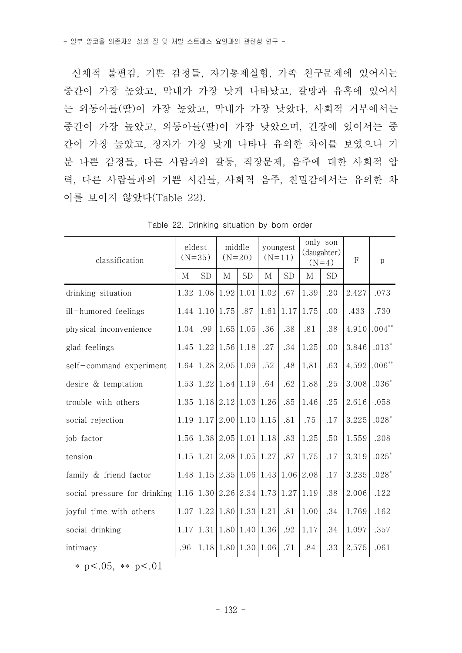신체적 불편감, 기쁜 감정들, 자기통제실험, 가족 친구문제에 있어서는 중간이 가장 높았고, 막내가 가장 낮게 나타났고, 갈망과 유혹에 있어서 는 외동아들(딸)이 가장 높았고, 막내가 가장 낮았다. 사회적 거부에서는 중간이 가장 높았고, 외동아들(딸)이 가장 낮았으며, 긴장에 있어서는 중 간이 가장 높았고, 장자가 가장 낮게 나타나 유의한 차이를 보였으나 기 분 나쁜 감정들, 다른 사람과의 갈등, 직장문제, 음주에 대한 사회적 압 력, 다른 사람들과의 기쁜 시간들, 사회적 음주, 친밀감에서는 유의한 차 이를 보이지 않았다(Table 22).

| classification                                                     | eldest | $(N=35)$                                                           | middle<br>$(N=20)$         |                                      | youngest<br>$(N=11)$ |           |      | only son<br>(daugahter)<br>$(N=4)$ | F     | $\mathbf{p}$ |
|--------------------------------------------------------------------|--------|--------------------------------------------------------------------|----------------------------|--------------------------------------|----------------------|-----------|------|------------------------------------|-------|--------------|
|                                                                    | M      | SD                                                                 | М                          | <b>SD</b>                            | M                    | <b>SD</b> | М    | <b>SD</b>                          |       |              |
| drinking situation                                                 | 1.32   | $1.08 \mid 1.92$                                                   |                            | 1.01                                 | 1.02                 | .67       | 1.39 | .20                                | 2.427 | .073         |
| ill-humored feelings                                               |        | $1.44 \mid 1.10 \mid 1.75$                                         |                            | .87                                  | 1.61                 | 1.17      | 1.75 | .00                                | .433  | .730         |
| physical inconvenience                                             | 1.04   | .99                                                                | $1.65 \mid 1.05$           |                                      | .36                  | .38       | .81  | .38                                | 4.910 | $.004**$     |
| glad feelings                                                      | 1.45   |                                                                    | $1.22 \mid 1.56 \mid 1.18$ |                                      | .27                  | .34       | 1.25 | .00                                | 3.846 | $.013*$      |
| self-command experiment                                            |        | $1.64$   1.28   2.05   1.09                                        |                            |                                      | .52                  | .48       | 1.81 | .63                                | 4.592 | $.006**$     |
| desire & temptation                                                |        | 1.53 1.22 1.84 1.19                                                |                            |                                      | .64                  | .62       | 1.88 | .25                                | 3.008 | $.036*$      |
| trouble with others                                                | 1.35   | $1.18 \mid 2.12 \mid 1.03 \mid 1.26$                               |                            |                                      |                      | .85       | 1.46 | .25                                | 2.616 | .058         |
| social rejection                                                   |        | 1.19 1.17                                                          |                            | $2.00 \mid 1.10 \mid 1.15$           |                      | .81       | .75  | .17                                | 3.225 | $.028*$      |
| job factor                                                         |        | 1.56 1.38 2.05 1.01 1.18                                           |                            |                                      |                      | .83       | 1.25 | .50                                | 1.559 | .208         |
| tension                                                            | 1.15   | $1.21 \mid 2.08 \mid 1.05 \mid 1.27$                               |                            |                                      |                      | .87       | 1.75 | .17                                | 3.319 | $.025*$      |
| family & friend factor                                             |        | $1.48 \mid 1.15 \mid 2.35 \mid 1.06 \mid 1.43 \mid 1.06 \mid 2.08$ |                            |                                      |                      |           |      | .17                                | 3.235 | $.028*$      |
| social pressure for drinking $ 1.16 1.30 2.26 2.34 1.73 1.27 1.19$ |        |                                                                    |                            |                                      |                      |           |      | .38                                | 2.006 | .122         |
| joyful time with others                                            |        | $1.07 \mid 1.22 \mid 1.80 \mid 1.33 \mid 1.21$                     |                            |                                      |                      | .81       | 1.00 | .34                                | 1.769 | .162         |
| social drinking                                                    |        | $1.17 \mid 1.31 \mid 1.80 \mid 1.40 \mid 1.36$                     |                            |                                      |                      | .92       | 1.17 | .34                                | 1.097 | .357         |
| intimacy                                                           | .96    |                                                                    |                            | $1.18 \mid 1.80 \mid 1.30 \mid 1.06$ |                      | .71       | .84  | .33                                | 2.575 | .061         |

Table 22. Drinking situation by born order

\* p  $< .05$ , \*\* p  $< .01$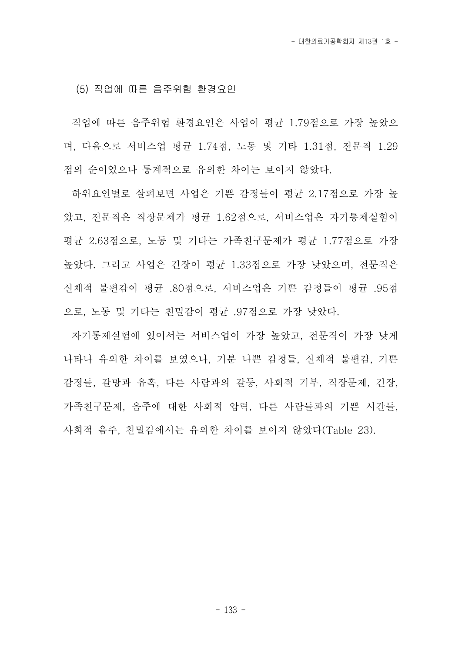(5) 직업에 따른 음주위험 환경요인

직업에 따른 음주위험 환경요인은 사업이 평균 1.79점으로 가장 높았으 며, 다음으로 서비스업 평균 1.74점, 노동 및 기타 1.31점, 전문직 1.29 점의 순이었으나 통계적으로 유의한 차이는 보이지 않았다.

하위요인별로 살펴보면 사업은 기쁜 감정들이 평균 2.17점으로 가장 높 았고, 전문직은 직장문제가 평균 1.62점으로, 서비스업은 자기통제실험이 평균 2.63점으로, 노동 및 기타는 가족친구문제가 평균 1.77점으로 가장 높았다. 그리고 사업은 긴장이 평균 1.33점으로 가장 낮았으며, 전문직은 신체적 불편감이 평균 .80점으로, 서비스업은 기쁜 감정들이 평균 .95점 으로, 노동 및 기타는 친밀감이 평균 .97점으로 가장 낮았다.

자기통제실험에 있어서는 서비스업이 가장 높았고, 전문직이 가장 낮게 나타나 유의한 차이를 보였으나, 기분 나쁜 감정들, 신체적 불편감, 기쁜 감정들, 갈망과 유혹, 다른 사람과의 갈등, 사회적 거부, 직장문제, 긴장,<br>가족친구문제, 음주에 대한 사회적 압력, 다른 사람들과의 기쁜 시간들,<br>사회적 음주, 친밀감에서는 유의한 차이를 보이지 않았다(Table 23).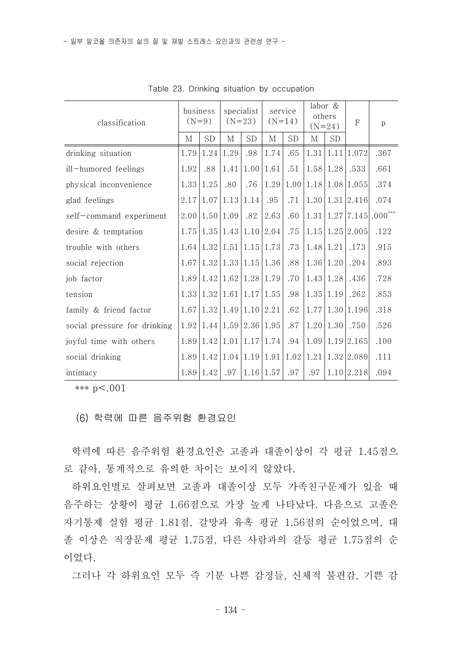| classification               | business<br>$(N=9)$ |                                                | specialist<br>$(N=23)$ |                | service<br>$(N=14)$ |     | labor &<br>others<br>$(N=24)$ |                  | $\mathbf{F}$                                    | p         |  |
|------------------------------|---------------------|------------------------------------------------|------------------------|----------------|---------------------|-----|-------------------------------|------------------|-------------------------------------------------|-----------|--|
|                              | М                   | SD                                             | М                      | <b>SD</b>      | М                   | SD  | М                             | SD.              |                                                 |           |  |
| drinking situation           | 1.79                | 1.24                                           | 1.29                   | .98            | 1.74                | .65 |                               |                  | $1.31 \mid 1.11 \mid 1.072$                     | .367      |  |
| ill-humored feelings         | 1.92                | .88                                            | 1.41                   | $1.00\,  1.61$ |                     | .51 |                               | $1.58 \mid 1.28$ | .533                                            | .661      |  |
| physical inconvenience       |                     | $1.33 \mid 1.25$                               | .80                    | .76            |                     |     |                               |                  | (1.29 1.00 1.18 1.08 1.055)                     | .374      |  |
| glad feelings                |                     | $2.17 \mid 1.07 \mid 1.13$                     |                        | 1.14           | .95                 | .71 |                               |                  | $1.30 \mid 1.31 \mid 2.416$                     | .074      |  |
| self-command experiment      |                     | $2.00 \mid 1.50 \mid 1.09$                     |                        | .82            | 2.63                | .60 |                               |                  | $1.31 \mid 1.27 \mid 7.145$                     | $.000***$ |  |
| desire & temptation          |                     | $1.75 \mid 1.35 \mid 1.43 \mid 1.10 \mid 2.04$ |                        |                |                     | .75 |                               |                  | $1.15 \mid 1.25 \mid 2.005$                     | .122      |  |
| trouble with others          |                     | $1.64 \mid 1.32 \mid 1.51 \mid 1.15 \mid 1.73$ |                        |                |                     | .73 | 1.48 1.21                     |                  | .173                                            | .915      |  |
| social rejection             |                     | $1.67 \mid 1.32 \mid 1.33 \mid 1.15 \mid 1.36$ |                        |                |                     | .88 | 1.36 1.20                     |                  | .204                                            | .893      |  |
| job factor                   |                     | $1.89 \mid 1.42 \mid 1.62 \mid 1.28 \mid 1.79$ |                        |                |                     | .70 |                               | $1.43 \mid 1.28$ | .436                                            | .728      |  |
| tension                      |                     | $1.33 \mid 1.32 \mid 1.61 \mid 1.17 \mid 1.55$ |                        |                |                     | .98 | $1.35$ 1.19                   |                  | .262                                            | .853      |  |
| family & friend factor       |                     | $1.67 \mid 1.32 \mid 1.49 \mid 1.10 \mid 2.21$ |                        |                |                     | .62 |                               |                  | $1.77 \mid 1.30 \mid 1.196$                     | .318      |  |
| social pressure for drinking |                     | $1.92 \mid 1.44 \mid 1.59 \mid 2.36 \mid 1.95$ |                        |                |                     | .87 | $1.20$   1.30                 |                  | .750                                            | .526      |  |
| joyful time with others      |                     | 1.89 1.42 1.01 1.17 1.74                       |                        |                |                     | .94 |                               |                  | $1.09$   $1.19$   $2.165$                       | .100      |  |
| social drinking              |                     |                                                |                        |                |                     |     |                               |                  | $1.89 1.42 1.04 1.19 1.91 1.02 1.21 1.32 2.080$ | .111      |  |
| intimacy                     |                     | 1.89   1.42                                    | .97                    | 1.16 1.57      |                     | .97 | .97                           |                  | 1.10 2.218                                      | .094      |  |

Table 23. Drinking situation by occupation

\*\*\* p<.001

(6) 학력에 따른 음주위험 환경요인

학력에 따른 음주위험 환경요인은 고졸과 대졸이상이 각 평균 1.45점으 로 같아, 통계적으로 유의한 차이는 보이지 않았다.

하위요인별로 살펴보면 고졸과 대졸이상 모두 가족친구문제가 있을 때 음주하는 상황이 평균 1.66점으로 가장 높게 나타났다. 다음으로 고졸은 자기통제 실험 평균 1.81점, 갈망과 유혹 평균 1.56점의 순이었으며, 대 졸 이상은 직장문제 평균 1.75점, 다른 사람과의 갈등 평균 1.75점의 순 이었다.<br>-<br>- 그러나 각 하위요인 모두 즉 기분 나쁜 감정들, 신체적 불편감, 기쁜 감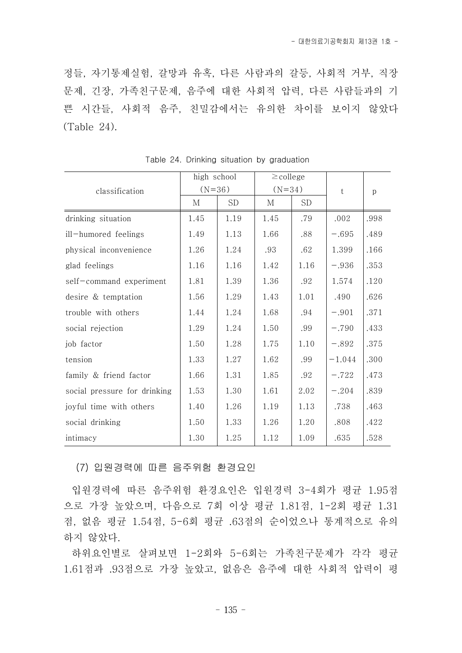정들, 자기통제실험, 갈망과 유혹, 다른 사람과의 갈등, 사회적 거부, 직장 문제, 긴장, 가족친구문제, 음주에 대한 사회적 압력, 다른 사람들과의 기 쁜 시간들, 사회적 음주, 친밀감에서는 유의한 차이를 보이지 않았다 (Table 24).

|                              | high school |           | $\geq$ college |           |          |      |  |
|------------------------------|-------------|-----------|----------------|-----------|----------|------|--|
| classification               | $(N=36)$    |           | $(N=34)$       |           | t        | p    |  |
|                              | М           | <b>SD</b> | М              | <b>SD</b> |          |      |  |
| drinking situation           | 1.45        | 1.19      | 1.45           | .79       | .002     | .998 |  |
| ill-humored feelings         | 1.49        | 1.13      | 1.66           | .88       | $-.695$  | .489 |  |
| physical inconvenience       | 1.26        | 1.24      | .93            | .62       | 1.399    | .166 |  |
| glad feelings                | 1.16        | 1.16      | 1.42           | 1.16      | $-.936$  | .353 |  |
| self-command experiment      | 1.81        | 1.39      | 1.36           | .92       | 1.574    | .120 |  |
| desire & temptation          | 1.56        | 1.29      | 1.43           | 1.01      | .490     | .626 |  |
| trouble with others          | 1.44        | 1.24      | 1.68           | .94       | $-.901$  | .371 |  |
| social rejection             | 1.29        | 1.24      | 1.50           | .99       | $-.790$  | .433 |  |
| job factor                   | 1.50        | 1.28      | 1.75           | 1.10      | $-.892$  | .375 |  |
| tension                      | 1.33        | 1.27      | 1.62           | .99       | $-1.044$ | .300 |  |
| family & friend factor       | 1.66        | 1.31      | 1.85           | .92       | $-.722$  | .473 |  |
| social pressure for drinking | 1.53        | 1.30      | 1.61           | 2.02      | $-.204$  | .839 |  |
| joyful time with others      | 1.40        | 1.26      | 1.19           | 1.13      | .738     | .463 |  |
| social drinking              | 1.50        | 1.33      | 1.26           | 1.20      | .808     | .422 |  |
| intimacy                     | 1.30        | 1.25      | 1.12           | 1.09      | .635     | .528 |  |

Table 24. Drinking situation by graduation

(7) 입원경력에 따른 음주위험 환경요인

입원경력에 따른 음주위험 환경요인은 입원경력 3-4회가 평균 1.95점 으로 가장 높았으며, 다음으로 7회 이상 평균 1.81점, 1-2회 평균 1.31 점, 없음 평균 1.54점, 5-6회 평균 .63점의 순이었으나 통계적으로 유의 하지 않았다.

하위요인별로 살펴보면 1-2회와 5-6회는 가족친구문제가 각각 평균 1.61점과 .93점으로 가장 높았고, 없음은 음주에 대한 사회적 압력이 평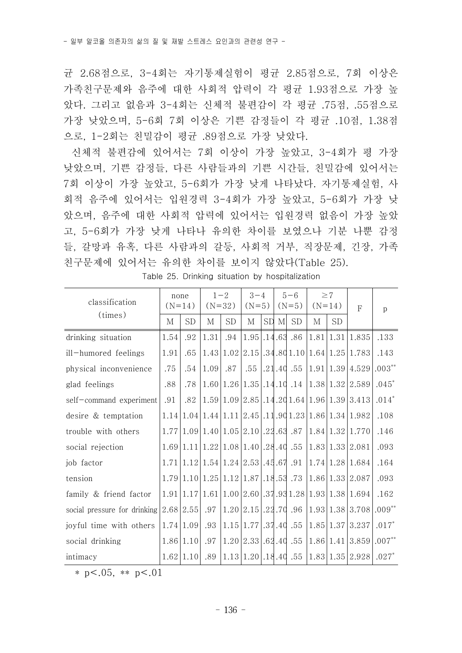균 2.68점으로, 3-4회는 자기통제실험이 평균 2.85점으로, 7회 이상은 가족친구문제와 음주에 대한 사회적 압력이 각 평균 1.93점으로 가장 높 았다. 그리고 없음과 3-4회는 신체적 불편감이 각 평균 .75점, .55점으로 가장 낮았으며, 5-6회 7회 이상은 기쁜 감정들이 각 평균 .10점, 1.38점 으로, 1-2회는 친밀감이 평균 .89점으로 가장 낮았다.

신체적 불편감에 있어서는 7회 이상이 가장 높았고, 3-4회가 평 가장 낮았으며, 기쁜 감정들, 다른 사람들과의 기쁜 시간들, 친밀감에 있어서는 7회 이상이 가장 높았고, 5-6회가 가장 낮게 나타났다. 자기통제실험, 사 회적 음주에 있어서는 입원경력 3-4회가 가장 높았고, 5-6회가 가장 낮 았으며, 음주에 대한 사회적 압력에 있어서는 입원경력 없음이 가장 높았 고, 5-6회가 가장 낮게 나타나 유의한 차이를 보였으나 기분 나뿐 감정 들, 갈망과 유혹, 다른 사람과의 갈등, 사회적 거부, 직장문제, 긴장, 가족 친구문제에 있어서는 유의한 차이를 보이지 않았다(Table 25).

| classification                             | none     |           | $1 - 2$                               |           | $3 - 4$                          |           | $5 - 6$      |           | $\geq$ 7 |           | F                                                     |         |  |
|--------------------------------------------|----------|-----------|---------------------------------------|-----------|----------------------------------|-----------|--------------|-----------|----------|-----------|-------------------------------------------------------|---------|--|
| (times)                                    | $(N=14)$ |           | $(N=32)$                              |           | $(N=5)$                          |           | $(N=5)$      |           | $(N=14)$ |           |                                                       | p       |  |
|                                            | М        | SD        | М                                     | <b>SD</b> | М                                | <b>SD</b> | $\mathbf{M}$ | <b>SD</b> | М        | <b>SD</b> |                                                       |         |  |
| drinking situation                         | 1.54     | .92       | 1.31                                  | .94       | $1.95$ . $14.63$ . 86            |           |              |           |          |           | $1.81 \mid 1.31 \mid 1.835$                           | .133    |  |
| ill-humored feelings                       | 1.91     | .65       |                                       |           |                                  |           |              |           |          |           | $1.43 1.02 2.15 .34.801.10 1.64 1.25 1.783$           | .143    |  |
| physical inconvenience                     | .75      | .54       | 1.09                                  | .87       | .55                              |           |              | .21.40.55 |          |           | $ 1.91 1.39 4.529 .003**$                             |         |  |
| glad feelings                              | .88      | .78       |                                       |           |                                  |           |              |           |          |           | $1.60 1.26 1.35 .14.10.14 1.38 1.32 2.589$            | $.045*$ |  |
| self-command experiment                    | .91      | .82       |                                       |           |                                  |           |              |           |          |           | $1.59 1.09 2.85 .14.20 1.64 1.96 1.39 3.413 $         | $.014*$ |  |
| desire & temptation                        |          |           |                                       |           |                                  |           |              |           |          |           | $1.14 1.04 1.44 1.11 2.45 .11.901.23 1.86 1.34 1.982$ | .108    |  |
| trouble with others                        |          |           | $1.77 1.09 1.40 1.05 2.10 .22.63$ .87 |           |                                  |           |              |           |          |           | 1.84 1.32 1.770                                       | .146    |  |
| social rejection                           |          |           | 1.69 1.11 1.22 1.08 1.40 .28.40.55    |           |                                  |           |              |           |          |           | 1.83 1.33 2.081                                       | .093    |  |
| job factor                                 |          |           | 1.71 1.12 1.54 1.24 2.53 .45.67.91    |           |                                  |           |              |           |          |           | 1.74 1.28 1.684                                       | .164    |  |
| tension                                    |          |           | $1.79 1.10 1.25 1.12 1.87 .18.53$ .73 |           |                                  |           |              |           |          |           | 1.86 1.33 2.087                                       | .093    |  |
| family & friend factor                     |          |           |                                       |           |                                  |           |              |           |          |           | $1.91 1.17 1.61 1.00 2.60 .37.931.28 1.93 1.38 1.694$ | .162    |  |
| social pressure for drinking $ 2.68 2.55 $ |          |           | .97                                   |           |                                  |           |              |           |          |           | $ 1.20 2.15 .22.70$ .96 $ 1.93 1.38 3.708 .009**$     |         |  |
| joyful time with others                    |          | 1.74 1.09 | .93                                   |           | $ 1.15 1.77 $ .37.40.55          |           |              |           |          |           | 1.85 1.37 3.237                                       | $.017*$ |  |
| social drinking                            |          | 1.86 1.10 | .97                                   |           | $1.20 \mid 2.33 \mid .62.40$ .55 |           |              |           |          |           | $ 1.86 1.41 3.859 .007**$                             |         |  |
| intimacy                                   |          | 1.62 1.10 | .89                                   |           | 1.13 1.20 .18.40.55              |           |              |           |          |           | $ 1.83 1.35 2.928 0.27$ *                             |         |  |

Table 25. Drinking situation by hospitalization

\* p <.05, \*\* p <.01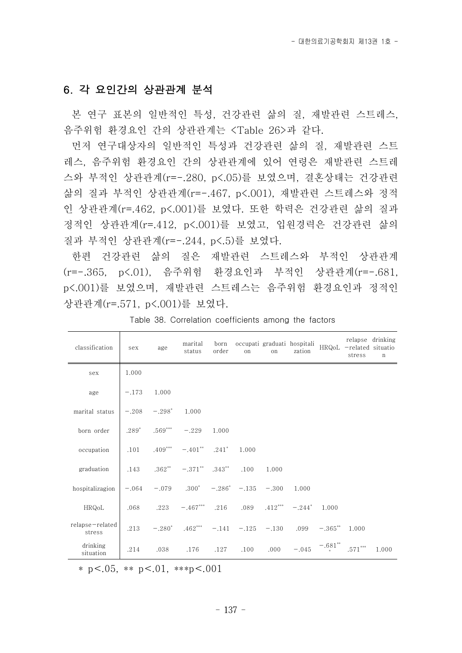### 6. 각 요인간의 상관관계 분석

- 본 연구 표본의 일반적인 특성, 건강관련 삶의 질, 재발관련 스트레스,<br>음주위험 환경요인 간의 상관관계는 <Table 26>과 같다.<br>- 먼저 연구대상자의 일반적인 특성과 건강관련 삶의 질, 재발관련 스트

레스, 음주위험 환경요인 간의 상관관계에 있어 연령은 재발관련 스트레 스와 부적인 상관관계(r=-.280, p<.05)를 보였으며, 결혼상태는 건강관련 삶의 질과 부적인 상관관계(r=-.467, p<.001), 재발관련 스트레스와 정적 인 상관관계(r=.462, p<.001)를 보였다. 또한 학력은 건강관련 삶의 질과 정적인 상관관계(r=.412, p<.001)를 보였고, 입원경력은 건강관련 삶의 질과 부적인 상관관계(r=-.244, p<.5)를 보였다.

한편 건강관련 삶의 질은 재발관련 스트레스와 부적인 상관관계 (r=-.365, p<.01), 음주위험 환경요인과 부적인 상관관계(r=-.681, p<.001)를 보였으며, 재발관련 스트레스는 음주위험 환경요인과 정적인 상관관계(r=.571, p<.001)를 보였다.

| classification            | sex     | age                    | marital<br>status                          | order | on    | on    | born occupati graduati hospitali HRQoL -related situatio<br>zation |                       | stress | relapse drinking<br>$\mathbf n$ |
|---------------------------|---------|------------------------|--------------------------------------------|-------|-------|-------|--------------------------------------------------------------------|-----------------------|--------|---------------------------------|
| sex                       | 1.000   |                        |                                            |       |       |       |                                                                    |                       |        |                                 |
| age                       | $-.173$ | 1.000                  |                                            |       |       |       |                                                                    |                       |        |                                 |
| marital status            | $-.208$ | $-.298^*$              | 1.000                                      |       |       |       |                                                                    |                       |        |                                 |
| born order                |         | $.289$ $.569$ $^{***}$ | $-.229$                                    | 1.000 |       |       |                                                                    |                       |        |                                 |
| occupation                | .101    | $.409***$              | $-.401$ ** $.241$ *                        |       | 1.000 |       |                                                                    |                       |        |                                 |
| graduation                | .143    | $.362**$               | $-.371$ ** $.343$ **                       |       | .100  | 1.000 |                                                                    |                       |        |                                 |
| hospitalizagion           | $-.064$ |                        | $-.079$ $.300^*$ $-.286^*$ $-.135$ $-.300$ |       |       |       | 1.000                                                              |                       |        |                                 |
| HRQoL                     | .068    | .223                   | $-.467***$ .216 .089 .412***               |       |       |       | $-.244*$                                                           | 1.000                 |        |                                 |
| relapse-related<br>stress | .213    | $-.280^*$              | $.462***$ -.141 -.125 -.130                |       |       |       | .099                                                               | $-.365$ **            | 1.000  |                                 |
| drinking<br>situation     | .214    | .038                   | .176                                       | .127  | .100  | .000  | $-.045$                                                            | $-.681$ ** $.571$ *** |        | 1.000                           |

Table 38. Correlation coefficients among the factors

\* p <.05, \*\* p <.01, \*\*\*p <.001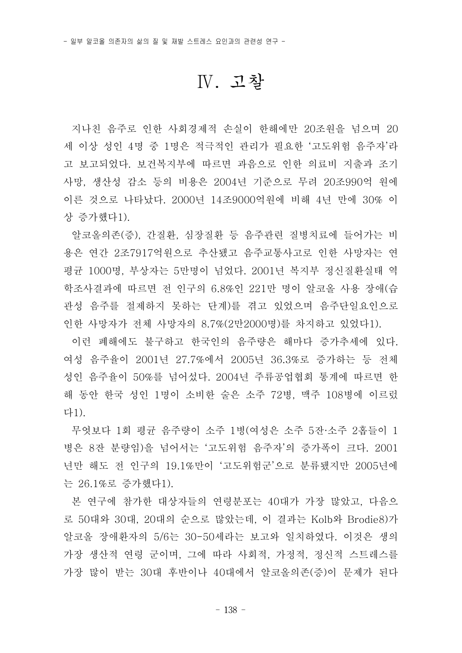## Ⅳ. 고찰

지나친 음주로 인한 사회경제적 손실이 한해에만 20조원을 넘으며 20 세 이상 성인 4명 중 1명은 적극적인 관리가 필요한 '고도위험 음주자'라 고 보고되었다. 보건복지부에 따르면 과음으로 인한 의료비 지출과 조기 사망, 생산성 감소 등의 비용은 2004년 기준으로 무려 20조990억 원에 이른 것으로 나타났다. 2000년 14조9000억원에 비해 4년 만에 30% 이 상 증가했다1).

알코올의존(증), 간질환, 심장질환 등 음주관련 질병치료에 들어가는 비 용은 연간 2조7917억원으로 추산됐고 음주교통사고로 인한 사망자는 연 평균 1000명, 부상자는 5만명이 넘었다. 2001년 복지부 정신질환실태 역 학조사결과에 따르면 전 인구의 6.8%인 221만 명이 알코올 사용 장애(습 관성 음주를 절제하지 못하는 단계)를 겪고 있었으며 음주단일요인으로 인한 사망자가 전체 사망자의 8.7%(2만2000명)를 차지하고 있었다1).

- 이런 폐해에도 불구하고 한국인의 음주량은 해마다 증가추세에 있다.<br>여성 음주율이 2001년 27.7%에서 2005년 36.3%로 증가하는 등 전체 성인 음주율이 50%를 넘어섰다. 2004년 주류공업협회 통계에 따르면 한 해 동안 한국 성인 1명이 소비한 술은 소주 72병, 맥주 108병에 이르렀 다1).

무엇보다 1회 평균 음주량이 소주 1병(여성은 소주 5잔·소주 2홉들이 1 병은 8잔 분량임)을 넘어서는 '고도위험 음주자'의 증가폭이 크다. 2001 년만 해도 전 인구의 19.1%만이 '고도위험군'으로 분류됐지만 2005년에 는 26.1%로 증가했다1).

본 연구에 참가한 대상자들의 연령분포는 40대가 가장 많았고, 다음으 로 50대와 30대, 20대의 순으로 많았는데, 이 결과는 Kolb와 Brodie8)가 알코올 장애환자의 5/6는 30-50세라는 보고와 일치하였다. 이것은 생의 가장 생산적 연령 군이며, 그에 따라 사회적, 가정적, 정신적 스트레스를 가장 많이 받는 30대 후반이나 40대에서 알코올의존(증)이 문제가 된다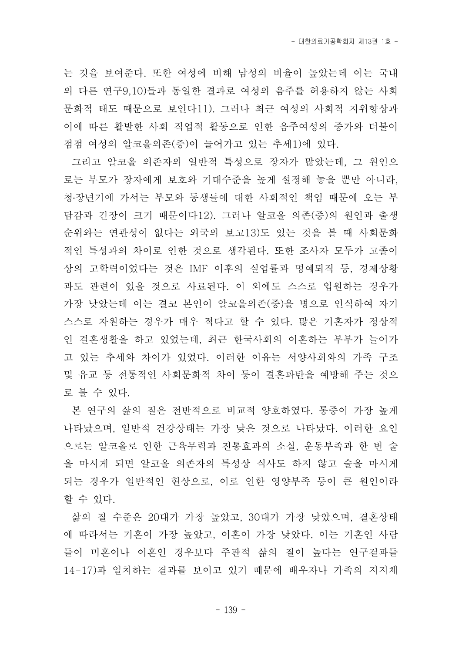- 대한의료기공학회지 제13권 1호 -

는 것을 보여준다. 또한 여성에 비해 남성의 비율이 높았는데 이는 국내 의 다른 연구9,10)들과 동일한 결과로 여성의 음주를 허용하지 않는 사회 문화적 태도 때문으로 보인다11). 그러나 최근 여성의 사회적 지위향상과 이에 따른 활발한 사회 직업적 활동으로 인한 음주여성의 증가와 더불어 점점 여성의 알코올의존(증)이 늘어가고 있는 추세1)에 있다.

그리고 알코올 의존자의 일반적 특성으로 장자가 많았는데, 그 원인으 로는 부모가 장자에게 보호와 기대수준을 높게 설정해 놓을 뿐만 아니라,<br>청·장년기에 가서는 부모와 동생들에 대한 사회적인 책임 때문에 오는 부 담감과 긴장이 크기 때문이다12). 그러나 알코올 의존(증)의 원인과 출생 순위와는 연관성이 없다는 외국의 보고13)도 있는 것을 볼 때 사회문화 적인 특성과의 차이로 인한 것으로 생각된다. 또한 조사자 모두가 고졸이 상의 고학력이었다는 것은 IMF 이후의 실업률과 명예퇴직 등, 경제상황 과도 관련이 있을 것으로 사료된다. 이 외에도 스스로 입원하는 경우가 가장 낮았는데 이는 결코 본인이 알코올의존(증)을 병으로 인식하여 자기 스스로 자원하는 경우가 매우 적다고 할 수 있다. 많은 기혼자가 정상적 인 결혼생활을 하고 있었는데, 최근 한국사회의 이혼하는 부부가 늘어가 고 있는 추세와 차이가 있었다. 이러한 이유는 서양사회와의 가족 구조 및 유교 등 전통적인 사회문화적 차이 등이 결혼파탄을 예방해 주는 것으 로 볼 수 있다.

본 연구의 삶의 질은 전반적으로 비교적 양호하였다. 통증이 가장 높게 나타났으며, 일반적 건강상태는 가장 낮은 것으로 나타났다. 이러한 요인 으로는 알코올로 인한 근육무력과 진통효과의 소실, 운동부족과 한 번 술 을 마시게 되면 알코올 의존자의 특성상 식사도 하지 않고 술을 마시게 되는 경우가 일반적인 현상으로, 이로 인한 영양부족 등이 큰 원인이라 할 수 있다.<br>- 삶의 질 수준은 20대가 가장 높았고, 30대가 가장 낮았으며, 결혼상태

에 따라서는 기혼이 가장 높았고, 이혼이 가장 낮았다. 이는 기혼인 사람 들이 미혼이나 이혼인 경우보다 주관적 삶의 질이 높다는 연구결과들 14-17)과 일치하는 결과를 보이고 있기 때문에 배우자나 가족의 지지체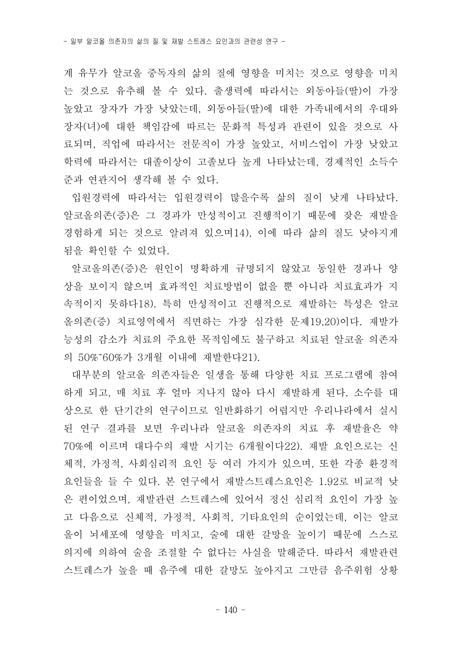계 유무가 알코올 중독자의 삶의 질에 영향을 미치는 것으로 영향을 미치 는 것으로 유추해 볼 수 있다. 출생력에 따라서는 외동아들(딸)이 가장 높았고 장자가 가장 낮았는데, 외동아들(딸)에 대한 가족내에서의 우대와 장자(녀)에 대한 책임감에 따르는 문화적 특성과 관련이 있을 것으로 사 료되며, 직업에 따라서는 전문직이 가장 높았고, 서비스업이 가장 낮았고 학력에 따라서는 대졸이상이 고졸보다 높게 나타났는데, 경제적인 소득수

준과 연관지어 생각해 볼 수 있다.<br>- 입원경력에 따라서는 입원경력이 많을수록 삶의 질이 낮게 나타났다.<br>알코올의존(증)은 그 경과가 만성적이고 진행적이기 때문에 잦은 재발을 경험하게 되는 것으로 알려져 있으며14), 이에 따라 삶의 질도 낮아지게

됨을 확인할 수 있었다.<br>- 알코올의존(증)은 원인이 명확하게 규명되지 않았고 동일한 경과나 양 상을 보이지 않으며 효과적인 치료방법이 없을 뿐 아니라 치료효과가 지 속적이지 못하다18). 특히 만성적이고 진행적으로 재발하는 특성은 알코 올의존(증) 치료영역에서 직면하는 가장 심각한 문제19,20)이다. 재발가 능성의 감소가 치료의 주요한 목적임에도 불구하고 치료된 알코올 의존자 의 50%˜60%가 3개월 이내에 재발한다21).

대부분의 알코올 의존자들은 일생을 통해 다양한 치료 프로그램에 참여 하게 되고, 매 치료 후 얼마 지나지 않아 다시 재발하게 된다. 소수를 대 상으로 한 단기간의 연구이므로 일반화하기 어렵지만 우리나라에서 실시 된 연구 결과를 보면 우리나라 알코올 의존자의 치료 후 재발율은 약 70%에 이르며 대다수의 재발 시기는 6개월이다22). 재발 요인으로는 신 체적, 가정적, 사회심리적 요인 등 여러 가지가 있으며, 또한 각종 환경적 요인들을 들 수 있다. 본 연구에서 재발스트레스요인은 1.92로 비교적 낮 은 편이었으며, 재발관련 스트레스에 있어서 정신 심리적 요인이 가장 높 고 다음으로 신체적, 가정적, 사회적, 기타요인의 순이었는데, 이는 알코 올이 뇌세포에 영향을 미치고, 술에 대한 갈망을 높이기 때문에 스스로 의지에 의하여 술을 조절할 수 없다는 사실을 말해준다. 따라서 재발관련 스트레스가 높을 때 음주에 대한 갈망도 높아지고 그만큼 음주위험 상황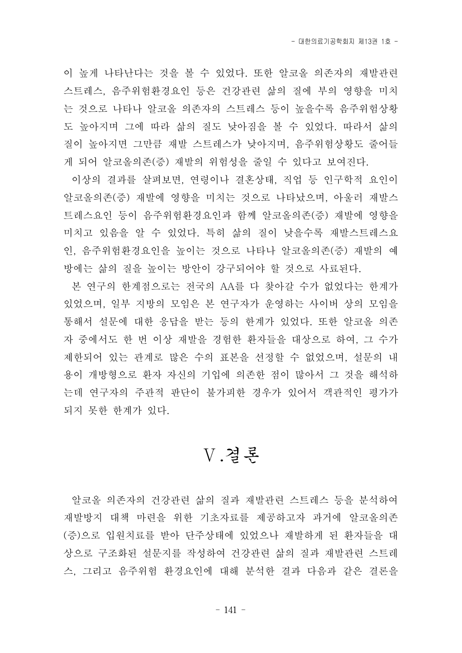이 높게 나타난다는 것을 볼 수 있었다. 또한 알코올 의존자의 재발관련 스트레스, 음주위험환경요인 등은 건강관련 삶의 질에 부의 영향을 미치 는 것으로 나타나 알코올 의존자의 스트레스 등이 높을수록 음주위험상황 도 높아지며 그에 따라 삶의 질도 낮아짐을 볼 수 있었다. 따라서 삶의 질이 높아지면 그만큼 재발 스트레스가 낮아지며, 음주위험상황도 줄어들 게 되어 알코올의존(증) 재발의 위험성을 줄일 수 있다고 보여진다.<br>-<br>이상의 결과를 살펴보면, 연령이나 결혼상태, 직업 등 인구학적 요인이

알코올의존(증) 재발에 영향을 미치는 것으로 나타났으며, 아울러 재발스 트레스요인 등이 음주위험환경요인과 함께 알코올의존(증) 재발에 영향을 미치고 있음을 알 수 있었다. 특히 삶의 질이 낮을수록 재발스트레스요 인, 음주위험환경요인을 높이는 것으로 나타나 알코올의존(증) 재발의 예 방에는 삶의 질을 높이는 방안이 강구되어야 할 것으로 사료된다.

본 연구의 한계점으로는 전국의 AA를 다 찾아갈 수가 없었다는 한계가 있었으며, 일부 지방의 모임은 본 연구자가 운영하는 사이버 상의 모임을 통해서 설문에 대한 응답을 받는 등의 한계가 있었다. 또한 알코올 의존 자 중에서도 한 번 이상 재발을 경험한 환자들을 대상으로 하여, 그 수가 제한되어 있는 관계로 많은 수의 표본을 선정할 수 없었으며, 설문의 내 용이 개방형으로 환자 자신의 기입에 의존한 점이 많아서 그 것을 해석하 는데 연구자의 주관적 판단이 불가피한 경우가 있어서 객관적인 평가가 되지 못한 한계가 있다.

## Ⅴ.결론

알코올 의존자의 건강관련 삶의 질과 재발관련 스트레스 등을 분석하여 재발방지 대책 마련을 위한 기초자료를 제공하고자 과거에 알코올의존 (증)으로 입원치료를 받아 단주상태에 있었으나 재발하게 된 환자들을 대 상으로 구조화된 설문지를 작성하여 건강관련 삶의 질과 재발관련 스트레 스, 그리고 음주위험 환경요인에 대해 분석한 결과 다음과 같은 결론을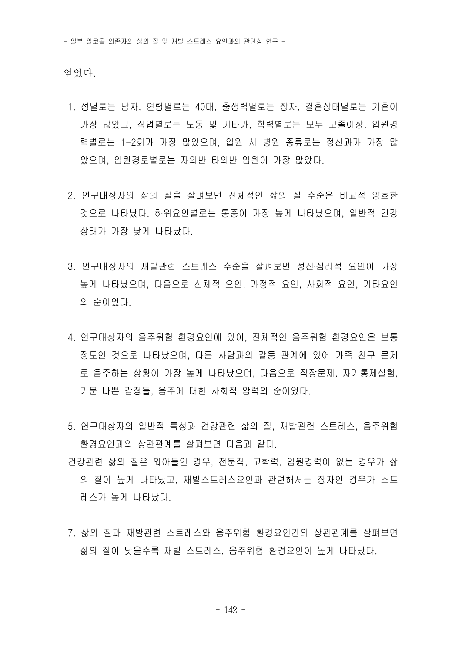얻었다.

- 1. 성별로는 남자, 연령별로는 40대, 출생력별로는 장자, 결혼상태별로는 기혼이 가장 많았고, 직업별로는 노동 및 기타가, 학력별로는 모두 고졸이상, 입원경 력별로는 1-2회가 가장 많았으며, 입원 시 병원 종류로는 정신과가 가장 많 았으며, 입원경로별로는 자의반 타의반 입원이 가장 많았다.
- 2. 연구대상자의 삶의 질을 살펴보면 전체적인 삶의 질 수준은 비교적 양호한 것으로 나타났다. 하위요인별로는 통증이 가장 높게 나타났으며, 일반적 건강 상태가 가장 낮게 나타났다.<br>3. 연구대상자의 재발관련 스트레스 수준을 살펴보면 정신∙심리적 요인이 가장
- 높게 나타났으며, 다음으로 신체적 요인, 가정적 요인, 사회적 요인, 기타요인 의 순이었다.
- 4. 연구대상자의 음주위험 환경요인에 있어, 전체적인 음주위험 환경요인은 보통 정도인 것으로 나타났으며, 다른 사람과의 갈등 관계에 있어 가족 친구 문제 로 음주하는 상황이 가장 높게 나타났으며, 다음으로 직장문제, 자기통제실험,<br>기분 나쁜 감정들, 음주에 대한 사회적 압력의 순이었다.<br>5. 연구대상자의 일반적 특성과 건강관련 삶의 질, 재발관련 스트레스, 음주위험
- 환경요인과의 상관관계를 살펴보면 다음과 같다.
- 건강관련 삶의 질은 외아들인 경우, 전문직, 고학력, 입원경력이 없는 경우가 삶 의 질이 높게 나타났고, 재발스트레스요인과 관련해서는 장자인 경우가 스트 레스가 높게 나타났다.
- 7. 삶의 질과 재발관련 스트레스와 음주위험 환경요인간의 상관관계를 살펴보면 삶의 질이 낮을수록 재발 스트레스, 음주위험 환경요인이 높게 나타났다.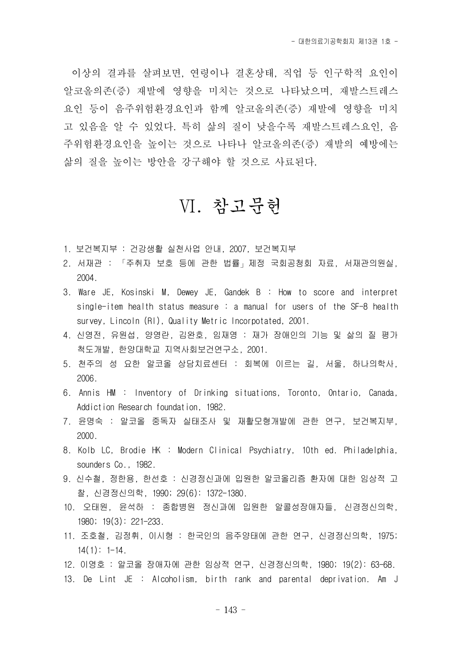이상의 결과를 살펴보면, 연령이나 결혼상태, 직업 등 인구학적 요인이 알코올의존(증) 재발에 영향을 미치는 것으로 나타났으며, 재발스트레스 요인 등이 음주위험환경요인과 함께 알코올의존(증) 재발에 영향을 미치 고 있음을 알 수 있었다. 특히 삶의 질이 낮을수록 재발스트레스요인, 음 주위험환경요인을 높이는 것으로 나타나 알코올의존(증) 재발의 예방에는 삶의 질을 높이는 방안을 강구해야 할 것으로 사료된다.

## Ⅵ. 참고문헌

- 1. 보건복지부 : 건강생활 실천사업 안내, 2007, 보건복지부
- 2. 서재관 : 「주취자 보호 등에 관한 법률」제정 국회공청회 자료, 서재관의원실, 2004.
- 3. Ware JE, Kosinski M, Dewey JE, Gandek B : How to score and interpret single-item health status measure : a manual for users of the SF-8 health survey, Lincoln (RI), Quality Metric Incorpotated, 2001.
- 4. 신영전, 유원섭, 양영란, 김완호, 임재영 : 재가 장애인의 기능 및 삶의 질 평가 척도개발, 한양대학교 지역사회보건연구소, 2001.
- 5. 천주의 성 요한 알코올 상담치료센터 : 회복에 이르는 길, 서울, 하나의학사, 2006.
- 6. Annis HM : Inventory of Drinking situations, Toronto, Ontario, Canada, Addiction Research foundation, 1982.
- 7. 윤명숙 : 알코올 중독자 실태조사 및 재활모형개발에 관한 연구, 보건복지부, 2000.
- 8. Kolb LC, Brodie HK : Modern Clinical Psychiatry, 10th ed. Philadelphia, sounders Co., 1982.
- 9. 신수철, 정한용, 한선호 : 신경정신과에 입원한 알코올리즘 환자에 대한 임상적 고 찰, 신경정신의학, 1990; 29(6): 1372-1380.
- 10. 오태원, 윤석하 : 종합병원 정신과에 입원한 알콜성장애자들, 신경정신의학, 1980; 19(3): 221-233.
- 11. 조호철, 김정휘, 이시형 : 한국인의 음주양태에 관한 연구, 신경정신의학, 1975;  $14(1): 1-14.$
- 12. 이영호 : 알코올 장애자에 관한 임상적 연구, 신경정신의학, 1980; 19(2): 63-68.
- 13. De Lint JE : Alcoholism, birth rank and parental deprivation. Am J